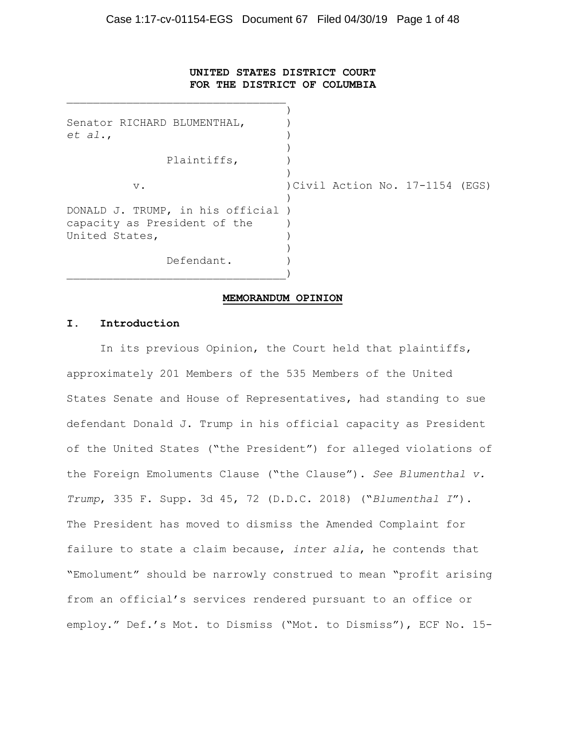## **UNITED STATES DISTRICT COURT FOR THE DISTRICT OF COLUMBIA**

 ) Senator RICHARD BLUMENTHAL, *et al*., ) ) and the contract of  $\mathcal{L}$  Plaintiffs, ) ) v. )Civil Action No. 17-1154 (EGS) ) and the contract of  $\mathcal{L}$ DONALD J. TRUMP, in his official ) capacity as President of the ) United States, ) and the contract of  $\mathcal{L}$ Defendant. \_\_\_\_\_\_\_\_\_\_\_\_\_\_\_\_\_\_\_\_\_\_\_\_\_\_\_\_\_\_\_\_\_)

#### **MEMORANDUM OPINION**

#### **I. Introduction**

\_\_\_\_\_\_\_\_\_\_\_\_\_\_\_\_\_\_\_\_\_\_\_\_\_\_\_\_\_\_\_\_\_

In its previous Opinion, the Court held that plaintiffs, approximately 201 Members of the 535 Members of the United States Senate and House of Representatives, had standing to sue defendant Donald J. Trump in his official capacity as President of the United States ("the President") for alleged violations of the Foreign Emoluments Clause ("the Clause"). *See Blumenthal v. Trump*, 335 F. Supp. 3d 45, 72 (D.D.C. 2018) ("*Blumenthal I*"). The President has moved to dismiss the Amended Complaint for failure to state a claim because, *inter alia*, he contends that "Emolument" should be narrowly construed to mean "profit arising from an official's services rendered pursuant to an office or employ." Def.'s Mot. to Dismiss ("Mot. to Dismiss"), ECF No. 15-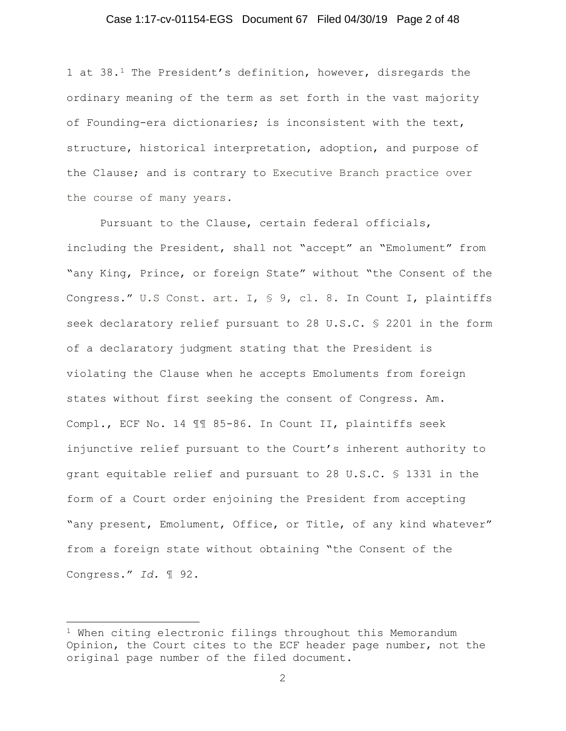#### Case 1:17-cv-01154-EGS Document 67 Filed 04/30/19 Page 2 of 48

1 at 38.1 The President's definition, however, disregards the ordinary meaning of the term as set forth in the vast majority of Founding-era dictionaries; is inconsistent with the text, structure, historical interpretation, adoption, and purpose of the Clause; and is contrary to Executive Branch practice over the course of many years.

Pursuant to the Clause, certain federal officials, including the President, shall not "accept" an "Emolument" from "any King, Prince, or foreign State" without "the Consent of the Congress." U.S Const. art. I, § 9, cl. 8. In Count I, plaintiffs seek declaratory relief pursuant to 28 U.S.C. § 2201 in the form of a declaratory judgment stating that the President is violating the Clause when he accepts Emoluments from foreign states without first seeking the consent of Congress. Am. Compl., ECF No. 14 ¶¶ 85-86. In Count II, plaintiffs seek injunctive relief pursuant to the Court's inherent authority to grant equitable relief and pursuant to 28 U.S.C. § 1331 in the form of a Court order enjoining the President from accepting "any present, Emolument, Office, or Title, of any kind whatever" from a foreign state without obtaining "the Consent of the Congress." *Id.* ¶ 92.

j 1 When citing electronic filings throughout this Memorandum Opinion, the Court cites to the ECF header page number, not the original page number of the filed document.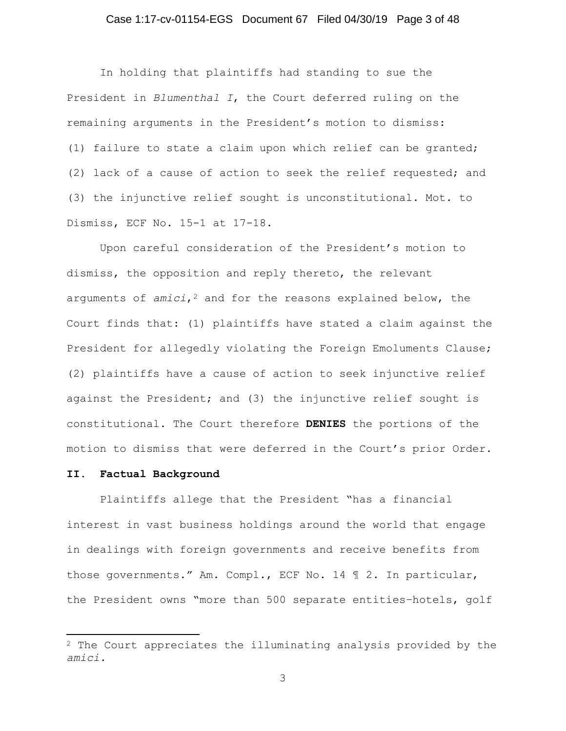## Case 1:17-cv-01154-EGS Document 67 Filed 04/30/19 Page 3 of 48

In holding that plaintiffs had standing to sue the President in *Blumenthal I*, the Court deferred ruling on the remaining arguments in the President's motion to dismiss: (1) failure to state a claim upon which relief can be granted; (2) lack of a cause of action to seek the relief requested; and (3) the injunctive relief sought is unconstitutional. Mot. to Dismiss, ECF No. 15-1 at 17-18.

Upon careful consideration of the President's motion to dismiss, the opposition and reply thereto, the relevant arguments of *amici*,<sup>2</sup> and for the reasons explained below, the Court finds that: (1) plaintiffs have stated a claim against the President for allegedly violating the Foreign Emoluments Clause; (2) plaintiffs have a cause of action to seek injunctive relief against the President; and (3) the injunctive relief sought is constitutional. The Court therefore **DENIES** the portions of the motion to dismiss that were deferred in the Court's prior Order.

## **II. Factual Background**

Plaintiffs allege that the President "has a financial interest in vast business holdings around the world that engage in dealings with foreign governments and receive benefits from those governments." Am. Compl., ECF No. 14 ¶ 2. In particular, the President owns "more than 500 separate entities–hotels, golf

j 2 The Court appreciates the illuminating analysis provided by the *amici*.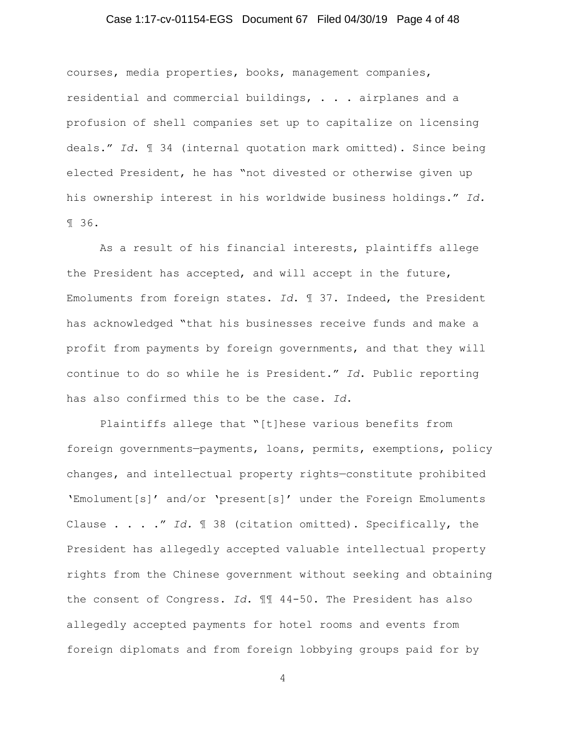## Case 1:17-cv-01154-EGS Document 67 Filed 04/30/19 Page 4 of 48

courses, media properties, books, management companies, residential and commercial buildings, . . . airplanes and a profusion of shell companies set up to capitalize on licensing deals." *Id*. ¶ 34 (internal quotation mark omitted). Since being elected President, he has "not divested or otherwise given up his ownership interest in his worldwide business holdings." *Id.* ¶ 36.

As a result of his financial interests, plaintiffs allege the President has accepted, and will accept in the future, Emoluments from foreign states. *Id*. ¶ 37. Indeed, the President has acknowledged "that his businesses receive funds and make a profit from payments by foreign governments, and that they will continue to do so while he is President." *Id*. Public reporting has also confirmed this to be the case. *Id*.

Plaintiffs allege that "[t]hese various benefits from foreign governments—payments, loans, permits, exemptions, policy changes, and intellectual property rights—constitute prohibited 'Emolument[s]' and/or 'present[s]' under the Foreign Emoluments Clause . . . ." *Id.* ¶ 38 (citation omitted). Specifically, the President has allegedly accepted valuable intellectual property rights from the Chinese government without seeking and obtaining the consent of Congress. *Id*. ¶¶ 44-50. The President has also allegedly accepted payments for hotel rooms and events from foreign diplomats and from foreign lobbying groups paid for by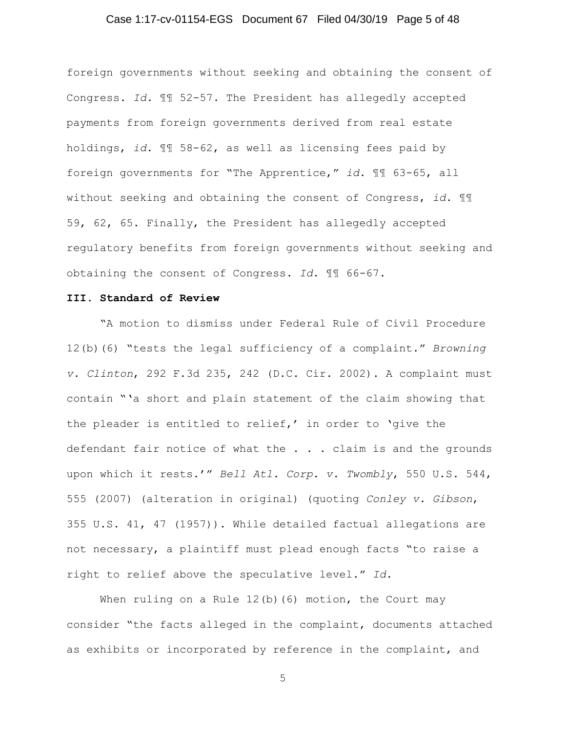## Case 1:17-cv-01154-EGS Document 67 Filed 04/30/19 Page 5 of 48

foreign governments without seeking and obtaining the consent of Congress. *Id.* ¶¶ 52-57. The President has allegedly accepted payments from foreign governments derived from real estate holdings, *id*. ¶¶ 58-62, as well as licensing fees paid by foreign governments for "The Apprentice," *id*. ¶¶ 63-65, all without seeking and obtaining the consent of Congress, *id*. ¶¶ 59, 62, 65. Finally, the President has allegedly accepted regulatory benefits from foreign governments without seeking and obtaining the consent of Congress. *Id*. ¶¶ 66-67.

#### **III. Standard of Review**

"A motion to dismiss under Federal Rule of Civil Procedure 12(b)(6) "tests the legal sufficiency of a complaint." *Browning v. Clinton*, 292 F.3d 235, 242 (D.C. Cir. 2002). A complaint must contain "'a short and plain statement of the claim showing that the pleader is entitled to relief,' in order to 'give the defendant fair notice of what the . . . claim is and the grounds upon which it rests.'" *Bell Atl. Corp. v. Twombly*, 550 U.S. 544, 555 (2007) (alteration in original) (quoting *Conley v. Gibson*, 355 U.S. 41, 47 (1957)). While detailed factual allegations are not necessary, a plaintiff must plead enough facts "to raise a right to relief above the speculative level." *Id.* 

When ruling on a Rule  $12(b)$  (6) motion, the Court may consider "the facts alleged in the complaint, documents attached as exhibits or incorporated by reference in the complaint, and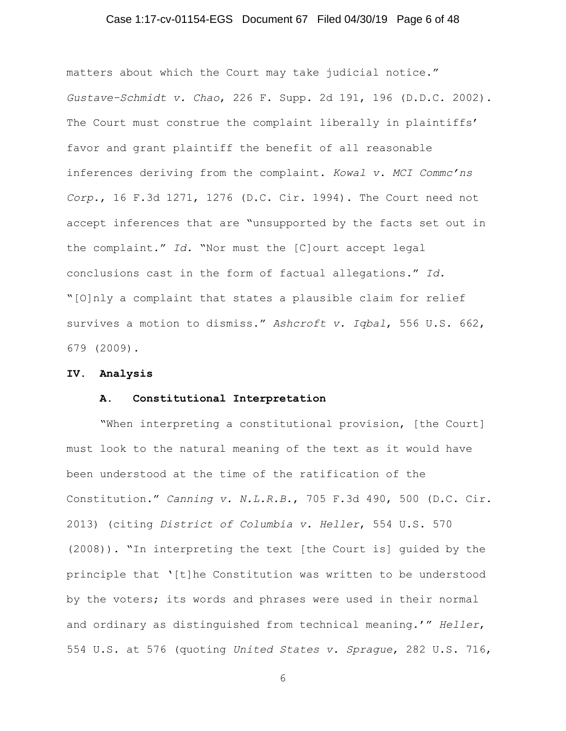## Case 1:17-cv-01154-EGS Document 67 Filed 04/30/19 Page 6 of 48

matters about which the Court may take judicial notice." *Gustave–Schmidt v. Chao*, 226 F. Supp. 2d 191, 196 (D.D.C. 2002). The Court must construe the complaint liberally in plaintiffs' favor and grant plaintiff the benefit of all reasonable inferences deriving from the complaint. *Kowal v. MCI Commc'ns Corp.*, 16 F.3d 1271, 1276 (D.C. Cir. 1994). The Court need not accept inferences that are "unsupported by the facts set out in the complaint." *Id.* "Nor must the [C]ourt accept legal conclusions cast in the form of factual allegations." *Id.* "[O]nly a complaint that states a plausible claim for relief survives a motion to dismiss." *Ashcroft v. Iqbal*, 556 U.S. 662, 679 (2009).

#### **IV. Analysis**

#### **A. Constitutional Interpretation**

"When interpreting a constitutional provision, [the Court] must look to the natural meaning of the text as it would have been understood at the time of the ratification of the Constitution." *Canning v. N.L.R.B*., 705 F.3d 490, 500 (D.C. Cir. 2013) (citing *District of Columbia v. Heller*, 554 U.S. 570 (2008)). "In interpreting the text [the Court is] guided by the principle that '[t]he Constitution was written to be understood by the voters; its words and phrases were used in their normal and ordinary as distinguished from technical meaning.'" *Heller*, 554 U.S. at 576 (quoting *United States v. Sprague*, 282 U.S. 716,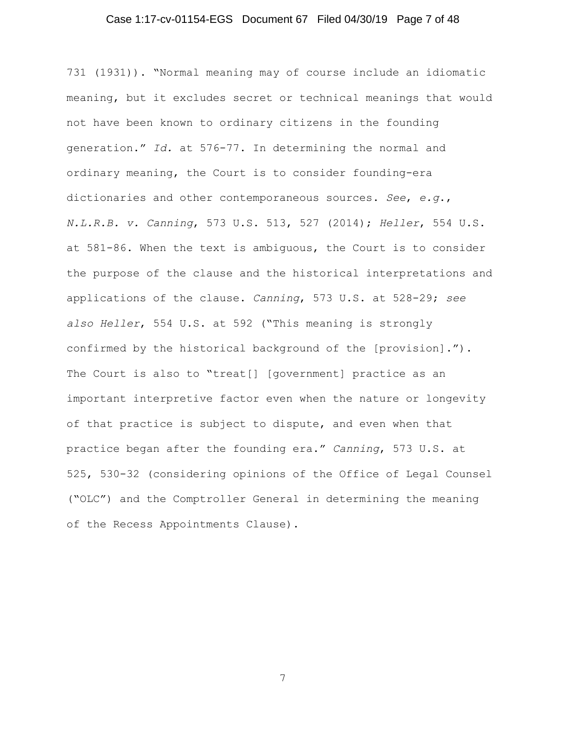## Case 1:17-cv-01154-EGS Document 67 Filed 04/30/19 Page 7 of 48

731 (1931)). "Normal meaning may of course include an idiomatic meaning, but it excludes secret or technical meanings that would not have been known to ordinary citizens in the founding generation." *Id.* at 576-77. In determining the normal and ordinary meaning, the Court is to consider founding-era dictionaries and other contemporaneous sources. *See*, *e.g*., *N.L.R.B. v. Canning*, 573 U.S. 513, 527 (2014); *Heller*, 554 U.S. at 581-86. When the text is ambiguous, the Court is to consider the purpose of the clause and the historical interpretations and applications of the clause. *Canning*, 573 U.S. at 528-29; *see also Heller*, 554 U.S. at 592 ("This meaning is strongly confirmed by the historical background of the [provision]."). The Court is also to "treat[] [government] practice as an important interpretive factor even when the nature or longevity of that practice is subject to dispute, and even when that practice began after the founding era." *Canning*, 573 U.S. at 525, 530-32 (considering opinions of the Office of Legal Counsel ("OLC") and the Comptroller General in determining the meaning of the Recess Appointments Clause).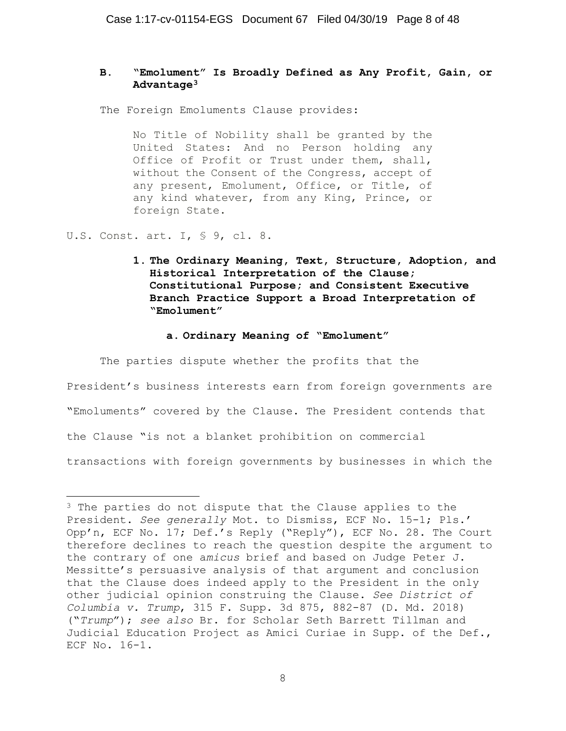# **B. "Emolument" Is Broadly Defined as Any Profit, Gain, or Advantage3**

The Foreign Emoluments Clause provides:

No Title of Nobility shall be granted by the United States: And no Person holding any Office of Profit or Trust under them, shall, without the Consent of the Congress, accept of any present, Emolument, Office, or Title, of any kind whatever, from any King, Prince, or foreign State.

U.S. Const. art. I, § 9, cl. 8.

**1. The Ordinary Meaning, Text, Structure, Adoption, and Historical Interpretation of the Clause; Constitutional Purpose; and Consistent Executive Branch Practice Support a Broad Interpretation of "Emolument"** 

#### **a. Ordinary Meaning of "Emolument"**

The parties dispute whether the profits that the

President's business interests earn from foreign governments are "Emoluments" covered by the Clause. The President contends that the Clause "is not a blanket prohibition on commercial transactions with foreign governments by businesses in which the

j <sup>3</sup> The parties do not dispute that the Clause applies to the President. *See generally* Mot. to Dismiss, ECF No. 15-1; Pls.' Opp'n, ECF No. 17; Def.'s Reply ("Reply"), ECF No. 28. The Court therefore declines to reach the question despite the argument to the contrary of one a*micus* brief and based on Judge Peter J. Messitte's persuasive analysis of that argument and conclusion that the Clause does indeed apply to the President in the only other judicial opinion construing the Clause. *See District of Columbia v. Trump*, 315 F. Supp. 3d 875, 882-87 (D. Md. 2018) ("*Trump*"); *see also* Br. for Scholar Seth Barrett Tillman and Judicial Education Project as Amici Curiae in Supp. of the Def., ECF No. 16-1.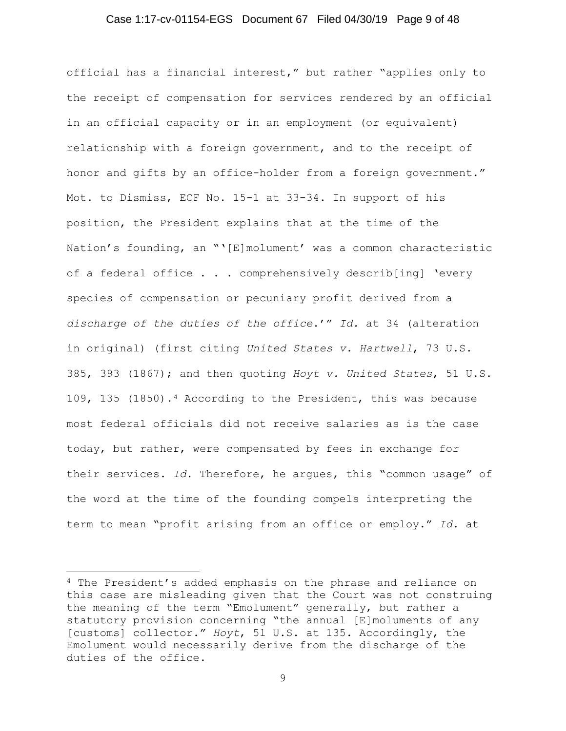#### Case 1:17-cv-01154-EGS Document 67 Filed 04/30/19 Page 9 of 48

official has a financial interest," but rather "applies only to the receipt of compensation for services rendered by an official in an official capacity or in an employment (or equivalent) relationship with a foreign government, and to the receipt of honor and gifts by an office-holder from a foreign government." Mot. to Dismiss, ECF No. 15-1 at 33-34. In support of his position, the President explains that at the time of the Nation's founding, an "'[E]molument' was a common characteristic of a federal office . . . comprehensively describ[ing] 'every species of compensation or pecuniary profit derived from a *discharge of the duties of the office*.'" *Id.* at 34 (alteration in original) (first citing *United States v. Hartwell*, 73 U.S. 385, 393 (1867); and then quoting *Hoyt v. United States*, 51 U.S. 109, 135 (1850).4 According to the President, this was because most federal officials did not receive salaries as is the case today, but rather, were compensated by fees in exchange for their services. *Id*. Therefore, he argues, this "common usage" of the word at the time of the founding compels interpreting the term to mean "profit arising from an office or employ." *Id*. at

j 4 The President's added emphasis on the phrase and reliance on this case are misleading given that the Court was not construing the meaning of the term "Emolument" generally, but rather a statutory provision concerning "the annual [E]moluments of any [customs] collector." *Hoyt*, 51 U.S. at 135. Accordingly, the Emolument would necessarily derive from the discharge of the duties of the office.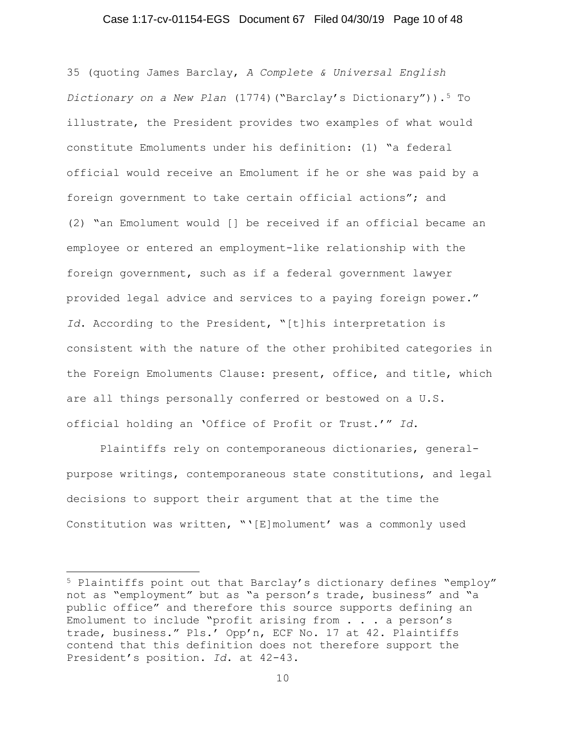## Case 1:17-cv-01154-EGS Document 67 Filed 04/30/19 Page 10 of 48

35 (quoting James Barclay, *A Complete & Universal English Dictionary on a New Plan* (1774)("Barclay's Dictionary")).5 To illustrate, the President provides two examples of what would constitute Emoluments under his definition: (1) "a federal official would receive an Emolument if he or she was paid by a foreign government to take certain official actions"; and (2) "an Emolument would [] be received if an official became an employee or entered an employment-like relationship with the foreign government, such as if a federal government lawyer provided legal advice and services to a paying foreign power." *Id*. According to the President, "[t]his interpretation is consistent with the nature of the other prohibited categories in the Foreign Emoluments Clause: present, office, and title, which are all things personally conferred or bestowed on a U.S. official holding an 'Office of Profit or Trust.'" *Id*.

Plaintiffs rely on contemporaneous dictionaries, generalpurpose writings, contemporaneous state constitutions, and legal decisions to support their argument that at the time the Constitution was written, "'[E]molument' was a commonly used

j 5 Plaintiffs point out that Barclay's dictionary defines "employ" not as "employment" but as "a person's trade, business" and "a public office" and therefore this source supports defining an Emolument to include "profit arising from . . . a person's trade, business." Pls.' Opp'n, ECF No. 17 at 42. Plaintiffs contend that this definition does not therefore support the President's position. *Id*. at 42-43.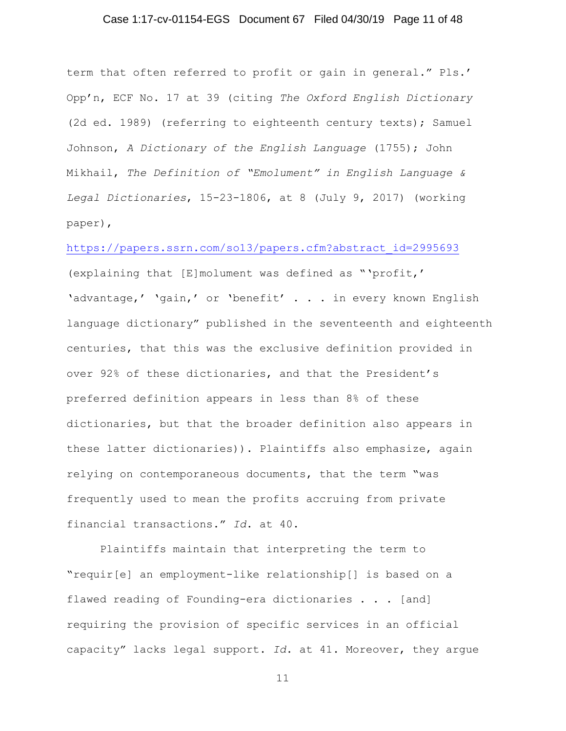## Case 1:17-cv-01154-EGS Document 67 Filed 04/30/19 Page 11 of 48

term that often referred to profit or gain in general." Pls.' Opp'n, ECF No. 17 at 39 (citing *The Oxford English Dictionary* (2d ed. 1989) (referring to eighteenth century texts); Samuel Johnson, *A Dictionary of the English Language* (1755); John Mikhail, *The Definition of "Emolument" in English Language & Legal Dictionaries*, 15-23-1806, at 8 (July 9, 2017) (working paper),

https://papers.ssrn.com/so13/papers.cfm?abstract\_id=2995693

(explaining that [E]molument was defined as "'profit,' 'advantage,' 'gain,' or 'benefit' . . . in every known English language dictionary" published in the seventeenth and eighteenth centuries, that this was the exclusive definition provided in over 92% of these dictionaries, and that the President's preferred definition appears in less than 8% of these dictionaries, but that the broader definition also appears in these latter dictionaries)). Plaintiffs also emphasize, again relying on contemporaneous documents, that the term "was frequently used to mean the profits accruing from private financial transactions." *Id*. at 40.

Plaintiffs maintain that interpreting the term to "requir[e] an employment-like relationship[] is based on a flawed reading of Founding-era dictionaries . . . [and] requiring the provision of specific services in an official capacity" lacks legal support. *Id*. at 41. Moreover, they argue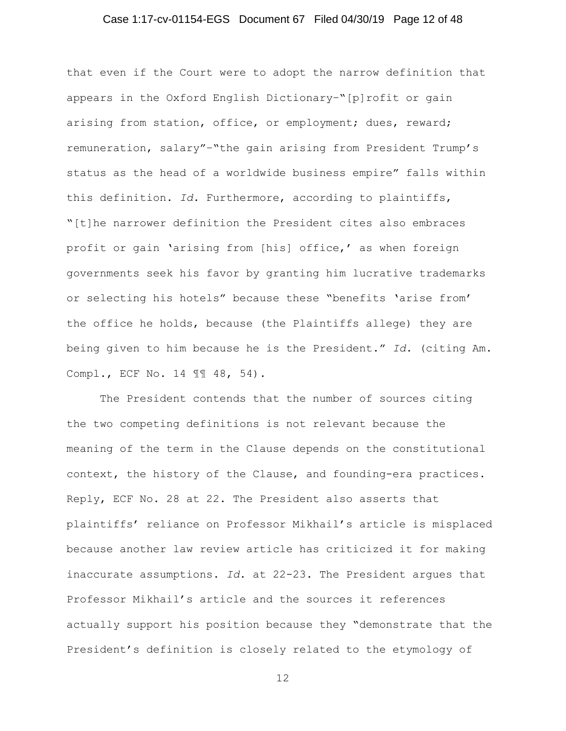## Case 1:17-cv-01154-EGS Document 67 Filed 04/30/19 Page 12 of 48

that even if the Court were to adopt the narrow definition that appears in the Oxford English Dictionary-"[p]rofit or gain arising from station, office, or employment; dues, reward; remuneration, salary"–"the gain arising from President Trump's status as the head of a worldwide business empire" falls within this definition. *Id.* Furthermore, according to plaintiffs, "[t]he narrower definition the President cites also embraces profit or gain 'arising from [his] office,' as when foreign governments seek his favor by granting him lucrative trademarks or selecting his hotels" because these "benefits 'arise from' the office he holds, because (the Plaintiffs allege) they are being given to him because he is the President." *Id*. (citing Am. Compl., ECF No. 14 ¶¶ 48, 54).

 The President contends that the number of sources citing the two competing definitions is not relevant because the meaning of the term in the Clause depends on the constitutional context, the history of the Clause, and founding-era practices. Reply, ECF No. 28 at 22. The President also asserts that plaintiffs' reliance on Professor Mikhail's article is misplaced because another law review article has criticized it for making inaccurate assumptions. *Id*. at 22-23. The President argues that Professor Mikhail's article and the sources it references actually support his position because they "demonstrate that the President's definition is closely related to the etymology of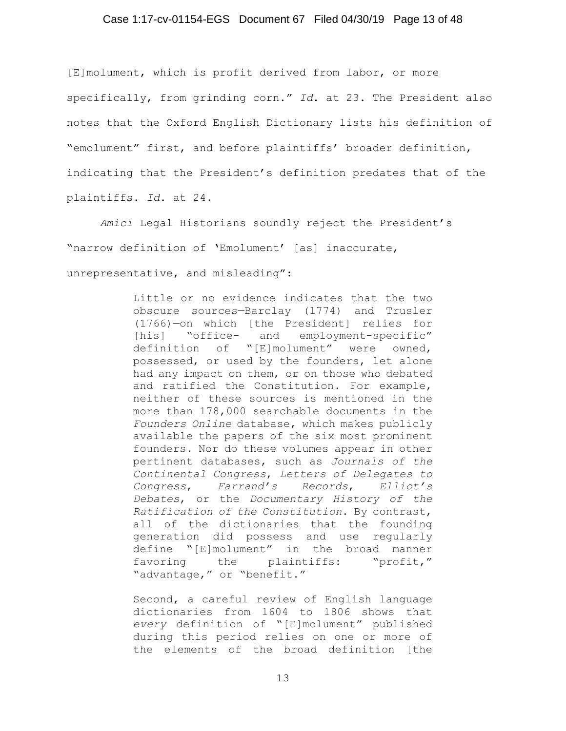# Case 1:17-cv-01154-EGS Document 67 Filed 04/30/19 Page 13 of 48

[E]molument, which is profit derived from labor, or more specifically, from grinding corn." *Id*. at 23. The President also notes that the Oxford English Dictionary lists his definition of "emolument" first, and before plaintiffs' broader definition, indicating that the President's definition predates that of the plaintiffs. *Id*. at 24.

*Amici* Legal Historians soundly reject the President's "narrow definition of 'Emolument' [as] inaccurate, unrepresentative, and misleading":

> Little or no evidence indicates that the two obscure sources—Barclay (1774) and Trusler (1766)—on which [the President] relies for [his] "office- and employment-specific" definition of "[E]molument" were owned, possessed, or used by the founders, let alone had any impact on them, or on those who debated and ratified the Constitution. For example, neither of these sources is mentioned in the more than 178,000 searchable documents in the *Founders Online* database, which makes publicly available the papers of the six most prominent founders. Nor do these volumes appear in other pertinent databases, such as *Journals of the Continental Congress*, *Letters of Delegates to Congress*, *Farrand's Records*, *Elliot's Debates*, or the *Documentary History of the Ratification of the Constitution*. By contrast, all of the dictionaries that the founding generation did possess and use regularly define "[E]molument" in the broad manner favoring the plaintiffs: "profit," "advantage," or "benefit."

> Second, a careful review of English language dictionaries from 1604 to 1806 shows that *every* definition of "[E]molument" published during this period relies on one or more of the elements of the broad definition [the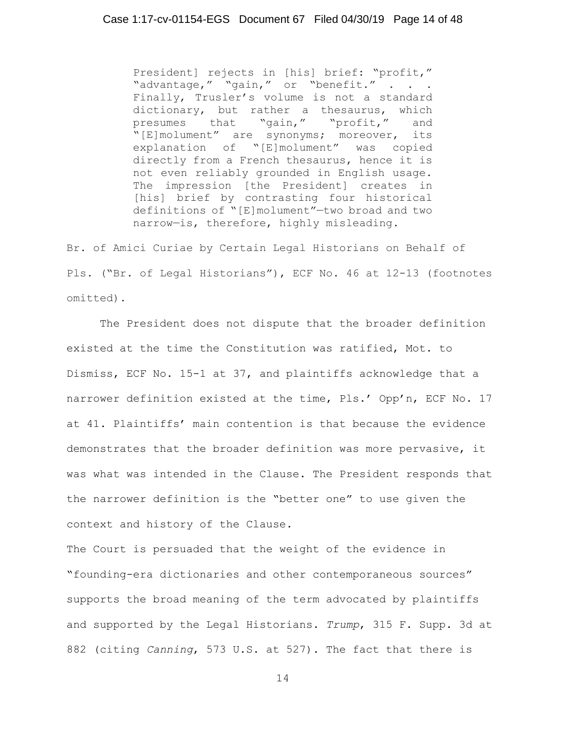President] rejects in [his] brief: "profit," "advantage," "gain," or "benefit." . . . Finally, Trusler's volume is not a standard dictionary, but rather a thesaurus, which presumes that "gain," "profit," and "[E]molument" are synonyms; moreover, its explanation of "[E]molument" was copied directly from a French thesaurus, hence it is not even reliably grounded in English usage. The impression [the President] creates in [his] brief by contrasting four historical definitions of "[E]molument"—two broad and two narrow—is, therefore, highly misleading.

Br. of Amici Curiae by Certain Legal Historians on Behalf of Pls. ("Br. of Legal Historians"), ECF No. 46 at 12-13 (footnotes omitted).

 The President does not dispute that the broader definition existed at the time the Constitution was ratified, Mot. to Dismiss, ECF No. 15-1 at 37, and plaintiffs acknowledge that a narrower definition existed at the time, Pls.' Opp'n, ECF No. 17 at 41. Plaintiffs' main contention is that because the evidence demonstrates that the broader definition was more pervasive, it was what was intended in the Clause. The President responds that the narrower definition is the "better one" to use given the context and history of the Clause.

The Court is persuaded that the weight of the evidence in "founding-era dictionaries and other contemporaneous sources" supports the broad meaning of the term advocated by plaintiffs and supported by the Legal Historians. *Trump*, 315 F. Supp. 3d at 882 (citing *Canning*, 573 U.S. at 527). The fact that there is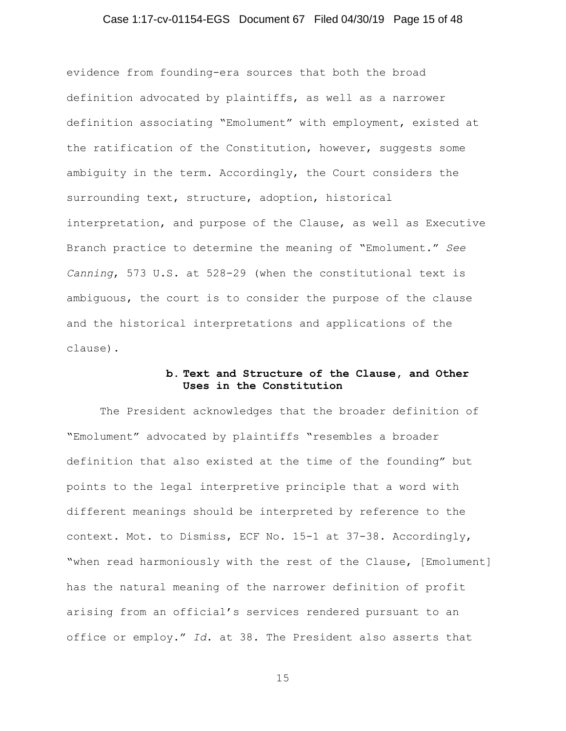## Case 1:17-cv-01154-EGS Document 67 Filed 04/30/19 Page 15 of 48

evidence from founding-era sources that both the broad definition advocated by plaintiffs, as well as a narrower definition associating "Emolument" with employment, existed at the ratification of the Constitution, however, suggests some ambiguity in the term. Accordingly, the Court considers the surrounding text, structure, adoption, historical interpretation, and purpose of the Clause, as well as Executive Branch practice to determine the meaning of "Emolument." *See Canning*, 573 U.S. at 528-29 (when the constitutional text is ambiguous, the court is to consider the purpose of the clause and the historical interpretations and applications of the clause).

## **b. Text and Structure of the Clause, and Other Uses in the Constitution**

The President acknowledges that the broader definition of "Emolument" advocated by plaintiffs "resembles a broader definition that also existed at the time of the founding" but points to the legal interpretive principle that a word with different meanings should be interpreted by reference to the context. Mot. to Dismiss, ECF No. 15-1 at 37-38. Accordingly, "when read harmoniously with the rest of the Clause, [Emolument] has the natural meaning of the narrower definition of profit arising from an official's services rendered pursuant to an office or employ." *Id*. at 38. The President also asserts that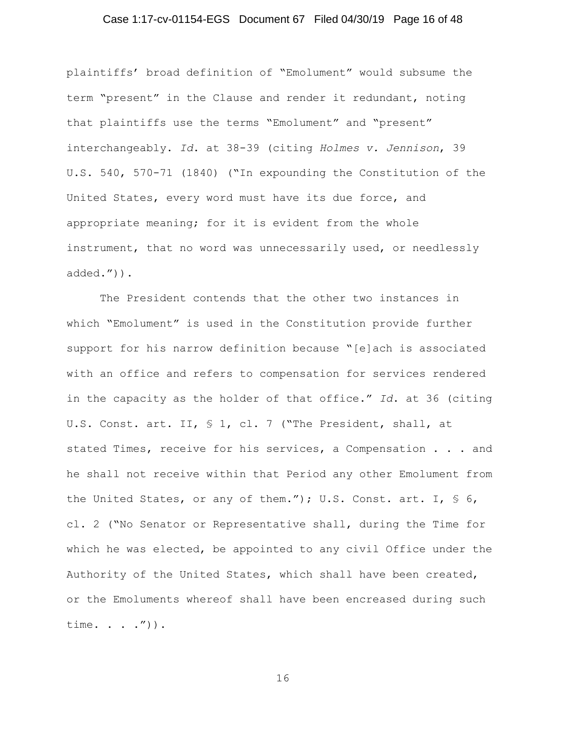## Case 1:17-cv-01154-EGS Document 67 Filed 04/30/19 Page 16 of 48

plaintiffs' broad definition of "Emolument" would subsume the term "present" in the Clause and render it redundant, noting that plaintiffs use the terms "Emolument" and "present" interchangeably. *Id*. at 38-39 (citing *Holmes v. Jennison*, 39 U.S. 540, 570-71 (1840) ("In expounding the Constitution of the United States, every word must have its due force, and appropriate meaning; for it is evident from the whole instrument, that no word was unnecessarily used, or needlessly added.")).

The President contends that the other two instances in which "Emolument" is used in the Constitution provide further support for his narrow definition because "[e]ach is associated with an office and refers to compensation for services rendered in the capacity as the holder of that office." *Id*. at 36 (citing U.S. Const. art. II, § 1, cl. 7 ("The President, shall, at stated Times, receive for his services, a Compensation . . . and he shall not receive within that Period any other Emolument from the United States, or any of them."); U.S. Const. art. I, § 6, cl. 2 ("No Senator or Representative shall, during the Time for which he was elected, be appointed to any civil Office under the Authority of the United States, which shall have been created, or the Emoluments whereof shall have been encreased during such time. . . . ") ) .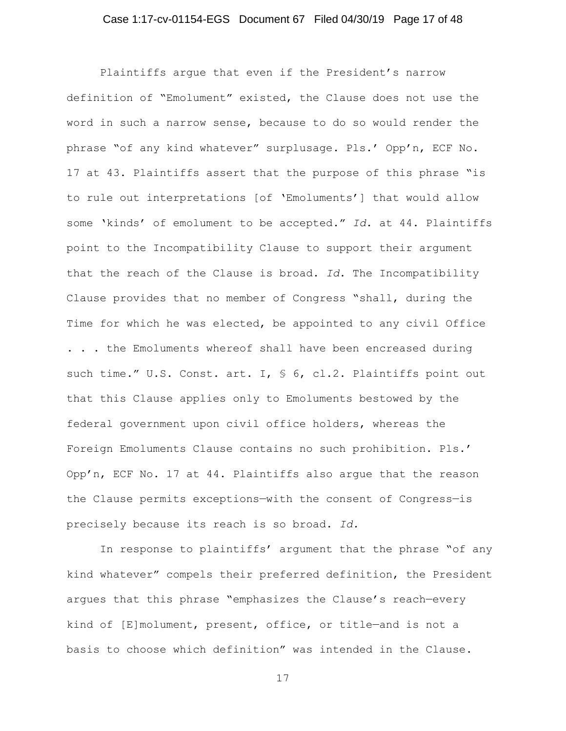## Case 1:17-cv-01154-EGS Document 67 Filed 04/30/19 Page 17 of 48

Plaintiffs argue that even if the President's narrow definition of "Emolument" existed, the Clause does not use the word in such a narrow sense, because to do so would render the phrase "of any kind whatever" surplusage. Pls.' Opp'n, ECF No. 17 at 43. Plaintiffs assert that the purpose of this phrase "is to rule out interpretations [of 'Emoluments'] that would allow some 'kinds' of emolument to be accepted." *Id*. at 44. Plaintiffs point to the Incompatibility Clause to support their argument that the reach of the Clause is broad. *Id*. The Incompatibility Clause provides that no member of Congress "shall, during the Time for which he was elected, be appointed to any civil Office

. . . the Emoluments whereof shall have been encreased during such time." U.S. Const. art. I, § 6, cl.2. Plaintiffs point out that this Clause applies only to Emoluments bestowed by the federal government upon civil office holders, whereas the Foreign Emoluments Clause contains no such prohibition. Pls.' Opp'n, ECF No. 17 at 44. Plaintiffs also argue that the reason the Clause permits exceptions—with the consent of Congress—is precisely because its reach is so broad. *Id.*

In response to plaintiffs' argument that the phrase "of any kind whatever" compels their preferred definition, the President argues that this phrase "emphasizes the Clause's reach—every kind of [E]molument, present, office, or title—and is not a basis to choose which definition" was intended in the Clause.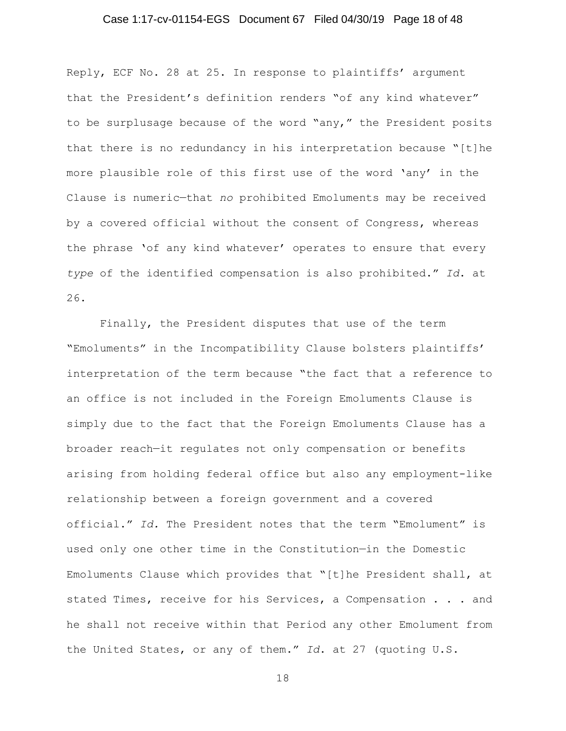## Case 1:17-cv-01154-EGS Document 67 Filed 04/30/19 Page 18 of 48

Reply, ECF No. 28 at 25. In response to plaintiffs' argument that the President's definition renders "of any kind whatever" to be surplusage because of the word "any," the President posits that there is no redundancy in his interpretation because "[t]he more plausible role of this first use of the word 'any' in the Clause is numeric—that *no* prohibited Emoluments may be received by a covered official without the consent of Congress, whereas the phrase 'of any kind whatever' operates to ensure that every *type* of the identified compensation is also prohibited." *Id*. at 26.

 Finally, the President disputes that use of the term "Emoluments" in the Incompatibility Clause bolsters plaintiffs' interpretation of the term because "the fact that a reference to an office is not included in the Foreign Emoluments Clause is simply due to the fact that the Foreign Emoluments Clause has a broader reach—it regulates not only compensation or benefits arising from holding federal office but also any employment-like relationship between a foreign government and a covered official." *Id.* The President notes that the term "Emolument" is used only one other time in the Constitution—in the Domestic Emoluments Clause which provides that "[t]he President shall, at stated Times, receive for his Services, a Compensation . . . and he shall not receive within that Period any other Emolument from the United States, or any of them." *Id*. at 27 (quoting U.S.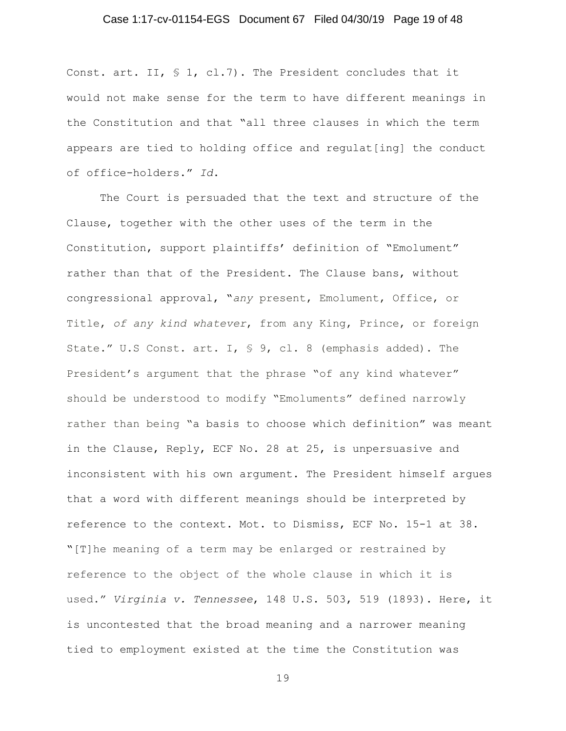## Case 1:17-cv-01154-EGS Document 67 Filed 04/30/19 Page 19 of 48

Const. art. II, § 1, cl.7). The President concludes that it would not make sense for the term to have different meanings in the Constitution and that "all three clauses in which the term appears are tied to holding office and regulat[ing] the conduct of office-holders." *Id*.

The Court is persuaded that the text and structure of the Clause, together with the other uses of the term in the Constitution, support plaintiffs' definition of "Emolument" rather than that of the President. The Clause bans, without congressional approval, "*any* present, Emolument, Office, or Title, *of any kind whatever*, from any King, Prince, or foreign State." U.S Const. art. I, § 9, cl. 8 (emphasis added). The President's argument that the phrase "of any kind whatever" should be understood to modify "Emoluments" defined narrowly rather than being "a basis to choose which definition" was meant in the Clause, Reply, ECF No. 28 at 25, is unpersuasive and inconsistent with his own argument. The President himself argues that a word with different meanings should be interpreted by reference to the context. Mot. to Dismiss, ECF No. 15-1 at 38. "[T]he meaning of a term may be enlarged or restrained by reference to the object of the whole clause in which it is used." *Virginia v. Tennessee*, 148 U.S. 503, 519 (1893). Here, it is uncontested that the broad meaning and a narrower meaning tied to employment existed at the time the Constitution was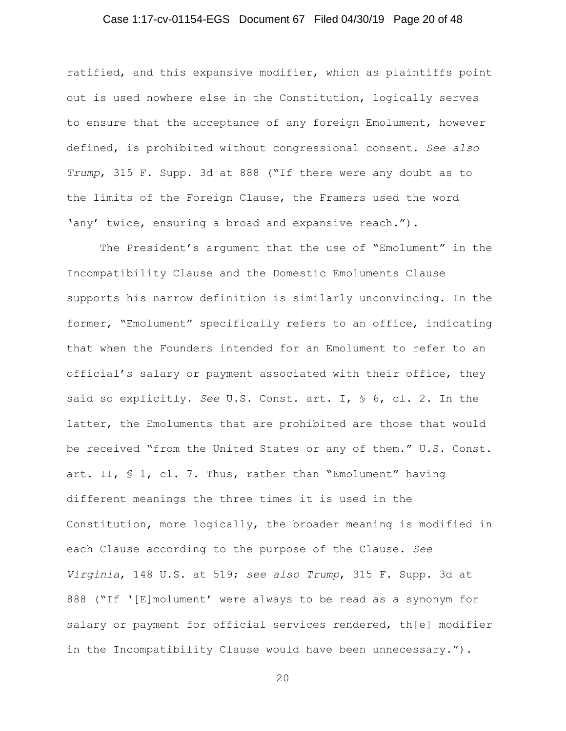## Case 1:17-cv-01154-EGS Document 67 Filed 04/30/19 Page 20 of 48

ratified, and this expansive modifier, which as plaintiffs point out is used nowhere else in the Constitution, logically serves to ensure that the acceptance of any foreign Emolument, however defined, is prohibited without congressional consent. *See also Trump*, 315 F. Supp. 3d at 888 ("If there were any doubt as to the limits of the Foreign Clause, the Framers used the word 'any' twice, ensuring a broad and expansive reach.").

The President's argument that the use of "Emolument" in the Incompatibility Clause and the Domestic Emoluments Clause supports his narrow definition is similarly unconvincing. In the former, "Emolument" specifically refers to an office, indicating that when the Founders intended for an Emolument to refer to an official's salary or payment associated with their office, they said so explicitly. *See* U.S. Const. art. I, § 6, cl. 2. In the latter, the Emoluments that are prohibited are those that would be received "from the United States or any of them." U.S. Const. art. II, § 1, cl. 7. Thus, rather than "Emolument" having different meanings the three times it is used in the Constitution, more logically, the broader meaning is modified in each Clause according to the purpose of the Clause. *See Virginia*, 148 U.S. at 519; *see also Trump*, 315 F. Supp. 3d at 888 ("If '[E]molument' were always to be read as a synonym for salary or payment for official services rendered, th[e] modifier in the Incompatibility Clause would have been unnecessary.").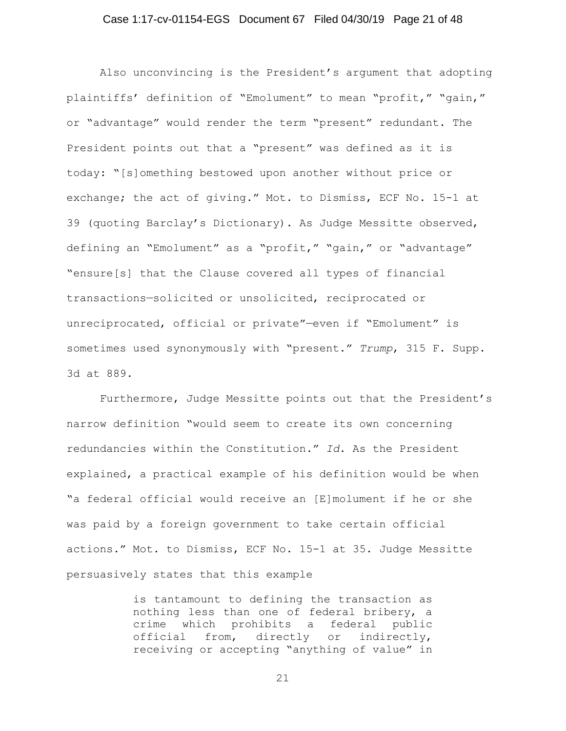## Case 1:17-cv-01154-EGS Document 67 Filed 04/30/19 Page 21 of 48

Also unconvincing is the President's argument that adopting plaintiffs' definition of "Emolument" to mean "profit," "gain," or "advantage" would render the term "present" redundant. The President points out that a "present" was defined as it is today: "[s]omething bestowed upon another without price or exchange; the act of giving." Mot. to Dismiss, ECF No. 15-1 at 39 (quoting Barclay's Dictionary). As Judge Messitte observed, defining an "Emolument" as a "profit," "gain," or "advantage" "ensure[s] that the Clause covered all types of financial transactions—solicited or unsolicited, reciprocated or unreciprocated, official or private"—even if "Emolument" is sometimes used synonymously with "present." *Trump*, 315 F. Supp. 3d at 889.

Furthermore, Judge Messitte points out that the President's narrow definition "would seem to create its own concerning redundancies within the Constitution." *Id*. As the President explained, a practical example of his definition would be when "a federal official would receive an [E]molument if he or she was paid by a foreign government to take certain official actions." Mot. to Dismiss, ECF No. 15-1 at 35. Judge Messitte persuasively states that this example

> is tantamount to defining the transaction as nothing less than one of federal bribery, a crime which prohibits a federal public<br>official from, directly or indirectly, directly or indirectly, receiving or accepting "anything of value" in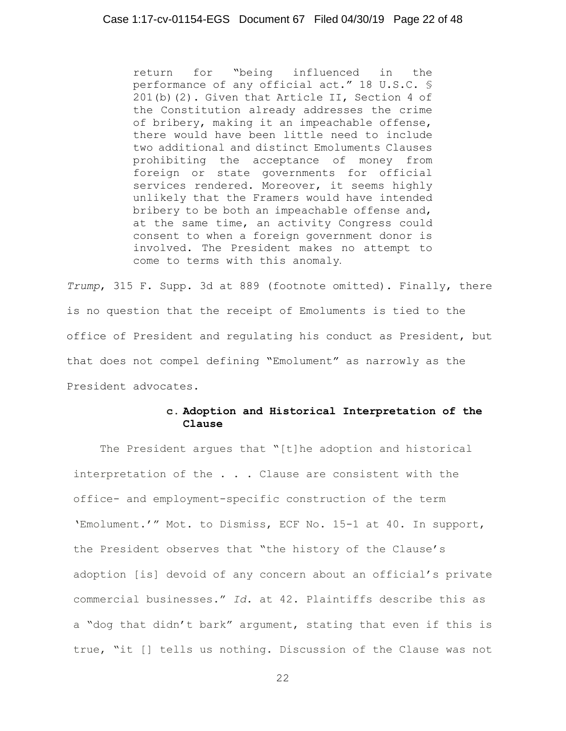return for "being influenced in the performance of any official act." 18 U.S.C. § 201(b)(2). Given that Article II, Section 4 of the Constitution already addresses the crime of bribery, making it an impeachable offense, there would have been little need to include two additional and distinct Emoluments Clauses prohibiting the acceptance of money from foreign or state governments for official services rendered. Moreover, it seems highly unlikely that the Framers would have intended bribery to be both an impeachable offense and, at the same time, an activity Congress could consent to when a foreign government donor is involved. The President makes no attempt to come to terms with this anomaly.

*Trump*, 315 F. Supp. 3d at 889 (footnote omitted). Finally, there is no question that the receipt of Emoluments is tied to the office of President and regulating his conduct as President, but that does not compel defining "Emolument" as narrowly as the President advocates.

## **c. Adoption and Historical Interpretation of the Clause**

The President argues that "[t]he adoption and historical interpretation of the . . . Clause are consistent with the office- and employment-specific construction of the term 'Emolument.'" Mot. to Dismiss, ECF No. 15-1 at 40. In support, the President observes that "the history of the Clause's adoption [is] devoid of any concern about an official's private commercial businesses." *Id*. at 42. Plaintiffs describe this as a "dog that didn't bark" argument, stating that even if this is true, "it [] tells us nothing. Discussion of the Clause was not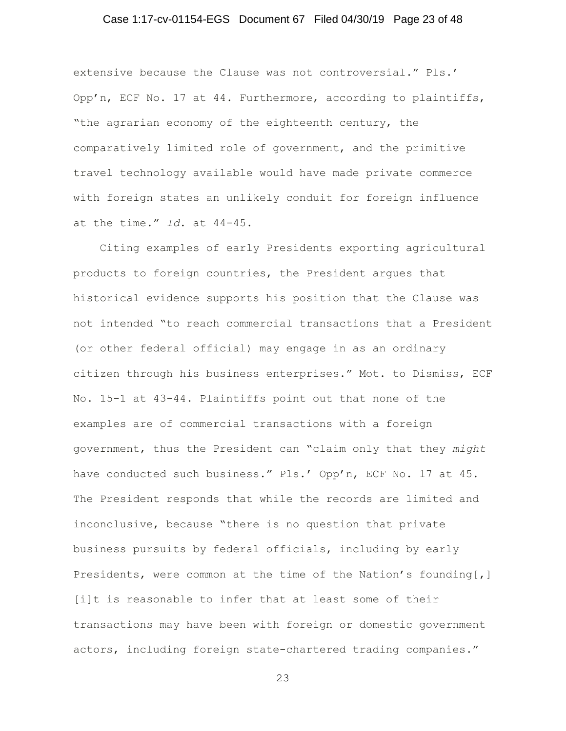## Case 1:17-cv-01154-EGS Document 67 Filed 04/30/19 Page 23 of 48

extensive because the Clause was not controversial." Pls.' Opp'n, ECF No. 17 at 44. Furthermore, according to plaintiffs, "the agrarian economy of the eighteenth century, the comparatively limited role of government, and the primitive travel technology available would have made private commerce with foreign states an unlikely conduit for foreign influence at the time." *Id*. at 44-45.

Citing examples of early Presidents exporting agricultural products to foreign countries, the President argues that historical evidence supports his position that the Clause was not intended "to reach commercial transactions that a President (or other federal official) may engage in as an ordinary citizen through his business enterprises." Mot. to Dismiss, ECF No. 15-1 at 43-44. Plaintiffs point out that none of the examples are of commercial transactions with a foreign government, thus the President can "claim only that they *might* have conducted such business." Pls.' Opp'n, ECF No. 17 at 45. The President responds that while the records are limited and inconclusive, because "there is no question that private business pursuits by federal officials, including by early Presidents, were common at the time of the Nation's founding[,] [i]t is reasonable to infer that at least some of their transactions may have been with foreign or domestic government actors, including foreign state-chartered trading companies."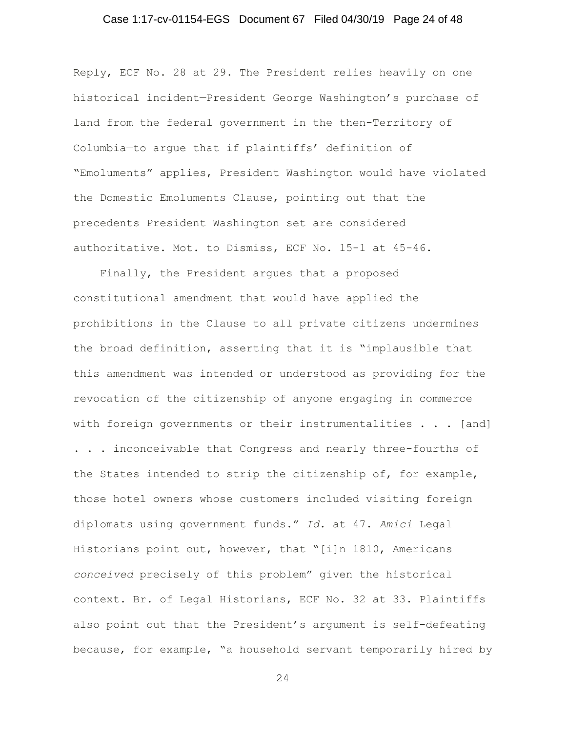## Case 1:17-cv-01154-EGS Document 67 Filed 04/30/19 Page 24 of 48

Reply, ECF No. 28 at 29. The President relies heavily on one historical incident—President George Washington's purchase of land from the federal government in the then-Territory of Columbia—to argue that if plaintiffs' definition of "Emoluments" applies, President Washington would have violated the Domestic Emoluments Clause, pointing out that the precedents President Washington set are considered authoritative. Mot. to Dismiss, ECF No. 15-1 at 45-46.

Finally, the President argues that a proposed constitutional amendment that would have applied the prohibitions in the Clause to all private citizens undermines the broad definition, asserting that it is "implausible that this amendment was intended or understood as providing for the revocation of the citizenship of anyone engaging in commerce with foreign governments or their instrumentalities . . . [and] . . . inconceivable that Congress and nearly three-fourths of the States intended to strip the citizenship of, for example, those hotel owners whose customers included visiting foreign diplomats using government funds." *Id*. at 47. *Amici* Legal Historians point out, however, that "[i]n 1810, Americans *conceived* precisely of this problem" given the historical context. Br. of Legal Historians, ECF No. 32 at 33. Plaintiffs also point out that the President's argument is self-defeating because, for example, "a household servant temporarily hired by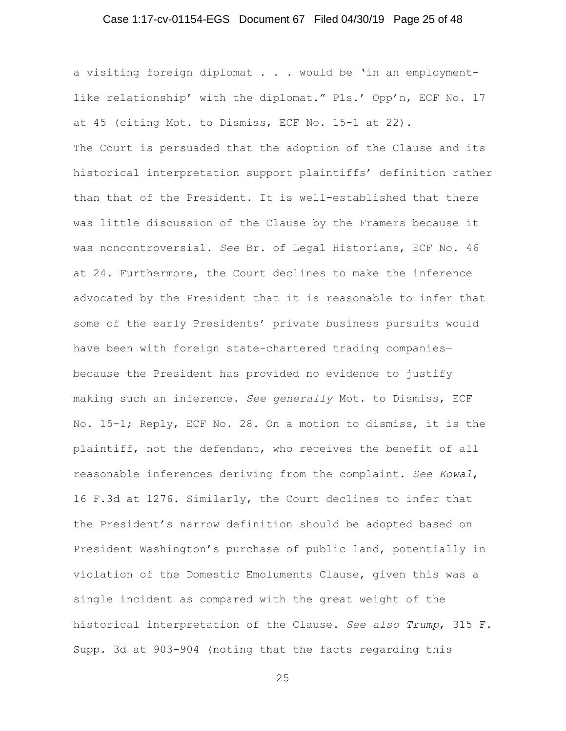## Case 1:17-cv-01154-EGS Document 67 Filed 04/30/19 Page 25 of 48

a visiting foreign diplomat . . . would be 'in an employmentlike relationship' with the diplomat." Pls.' Opp'n, ECF No. 17 at 45 (citing Mot. to Dismiss, ECF No. 15-1 at 22). The Court is persuaded that the adoption of the Clause and its historical interpretation support plaintiffs' definition rather than that of the President. It is well-established that there was little discussion of the Clause by the Framers because it was noncontroversial. *See* Br. of Legal Historians, ECF No. 46 at 24. Furthermore, the Court declines to make the inference advocated by the President—that it is reasonable to infer that some of the early Presidents' private business pursuits would have been with foreign state-chartered trading companies because the President has provided no evidence to justify making such an inference. *See generally* Mot. to Dismiss, ECF No. 15-1; Reply, ECF No. 28. On a motion to dismiss, it is the plaintiff, not the defendant, who receives the benefit of all reasonable inferences deriving from the complaint. *See Kowal*, 16 F.3d at 1276. Similarly, the Court declines to infer that the President's narrow definition should be adopted based on President Washington's purchase of public land, potentially in violation of the Domestic Emoluments Clause, given this was a single incident as compared with the great weight of the historical interpretation of the Clause. *See also Trump*, 315 F. Supp. 3d at 903-904 (noting that the facts regarding this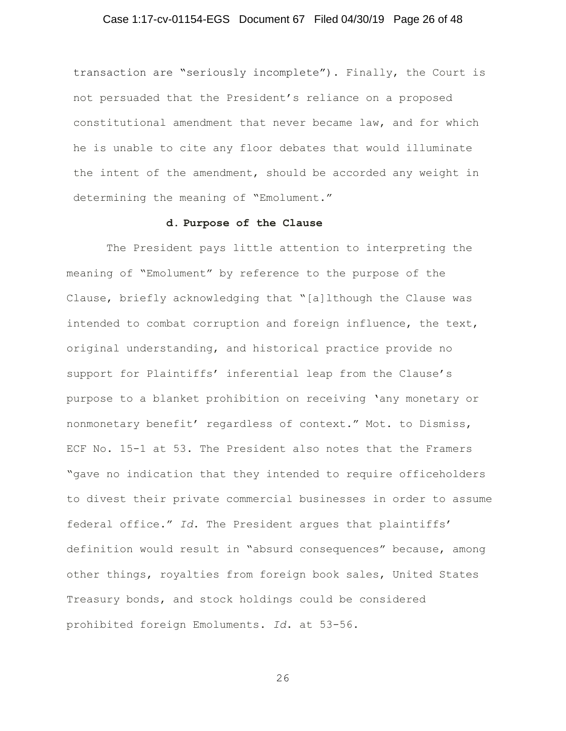## Case 1:17-cv-01154-EGS Document 67 Filed 04/30/19 Page 26 of 48

transaction are "seriously incomplete"). Finally, the Court is not persuaded that the President's reliance on a proposed constitutional amendment that never became law, and for which he is unable to cite any floor debates that would illuminate the intent of the amendment, should be accorded any weight in determining the meaning of "Emolument."

## **d. Purpose of the Clause**

 The President pays little attention to interpreting the meaning of "Emolument" by reference to the purpose of the Clause, briefly acknowledging that "[a]lthough the Clause was intended to combat corruption and foreign influence, the text, original understanding, and historical practice provide no support for Plaintiffs' inferential leap from the Clause's purpose to a blanket prohibition on receiving 'any monetary or nonmonetary benefit' regardless of context." Mot. to Dismiss, ECF No. 15-1 at 53. The President also notes that the Framers "gave no indication that they intended to require officeholders to divest their private commercial businesses in order to assume federal office." *Id*. The President argues that plaintiffs' definition would result in "absurd consequences" because, among other things, royalties from foreign book sales, United States Treasury bonds, and stock holdings could be considered prohibited foreign Emoluments. *Id*. at 53-56.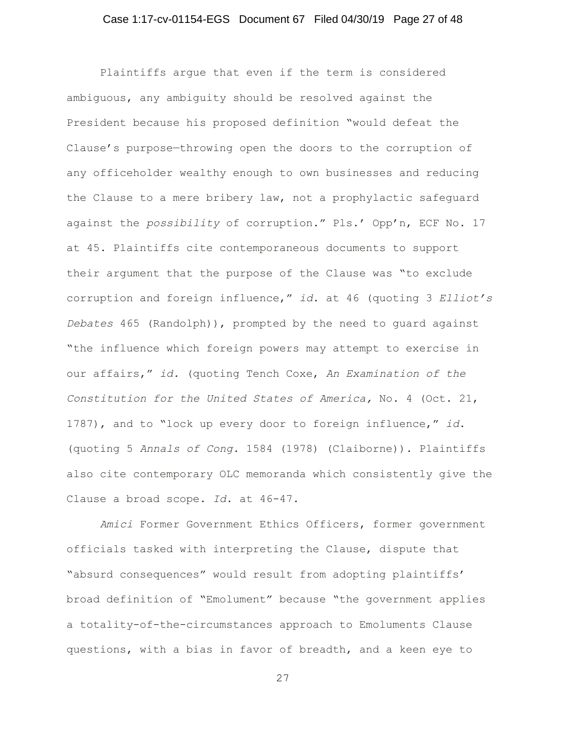## Case 1:17-cv-01154-EGS Document 67 Filed 04/30/19 Page 27 of 48

Plaintiffs argue that even if the term is considered ambiguous, any ambiguity should be resolved against the President because his proposed definition "would defeat the Clause's purpose—throwing open the doors to the corruption of any officeholder wealthy enough to own businesses and reducing the Clause to a mere bribery law, not a prophylactic safeguard against the *possibility* of corruption." Pls.' Opp'n, ECF No. 17 at 45. Plaintiffs cite contemporaneous documents to support their argument that the purpose of the Clause was "to exclude corruption and foreign influence," *id*. at 46 (quoting 3 *Elliot's Debates* 465 (Randolph)), prompted by the need to guard against "the influence which foreign powers may attempt to exercise in our affairs," *id.* (quoting Tench Coxe, *An Examination of the Constitution for the United States of America,* No. 4 (Oct. 21, 1787), and to "lock up every door to foreign influence," *id*. (quoting 5 *Annals of Cong*. 1584 (1978) (Claiborne)). Plaintiffs also cite contemporary OLC memoranda which consistently give the Clause a broad scope. *Id*. at 46-47.

*Amici* Former Government Ethics Officers, former government officials tasked with interpreting the Clause, dispute that "absurd consequences" would result from adopting plaintiffs' broad definition of "Emolument" because "the government applies a totality-of-the-circumstances approach to Emoluments Clause questions, with a bias in favor of breadth, and a keen eye to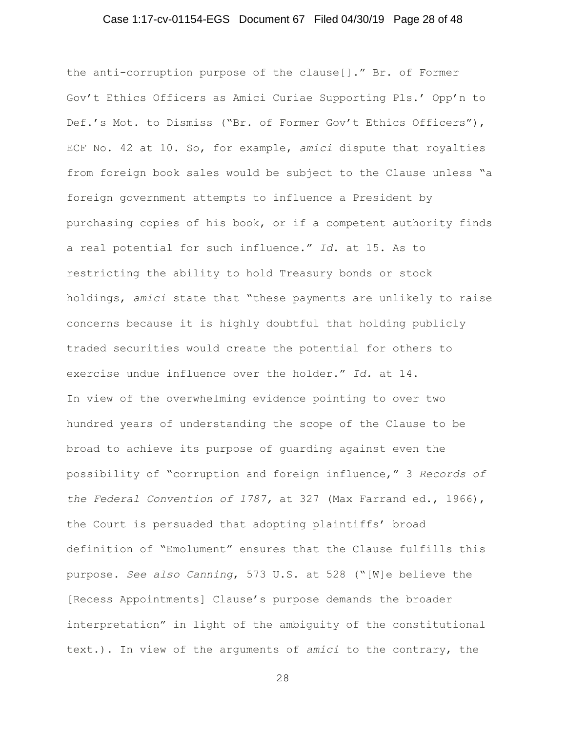## Case 1:17-cv-01154-EGS Document 67 Filed 04/30/19 Page 28 of 48

the anti-corruption purpose of the clause[]." Br. of Former Gov't Ethics Officers as Amici Curiae Supporting Pls.' Opp'n to Def.'s Mot. to Dismiss ("Br. of Former Gov't Ethics Officers"), ECF No. 42 at 10. So, for example, *amici* dispute that royalties from foreign book sales would be subject to the Clause unless "a foreign government attempts to influence a President by purchasing copies of his book, or if a competent authority finds a real potential for such influence." *Id*. at 15. As to restricting the ability to hold Treasury bonds or stock holdings, *amici* state that "these payments are unlikely to raise concerns because it is highly doubtful that holding publicly traded securities would create the potential for others to exercise undue influence over the holder." *Id.* at 14. In view of the overwhelming evidence pointing to over two hundred years of understanding the scope of the Clause to be broad to achieve its purpose of guarding against even the possibility of "corruption and foreign influence," 3 *Records of the Federal Convention of 1787,* at 327 (Max Farrand ed., 1966), the Court is persuaded that adopting plaintiffs' broad definition of "Emolument" ensures that the Clause fulfills this purpose. *See also Canning*, 573 U.S. at 528 ("[W]e believe the [Recess Appointments] Clause's purpose demands the broader interpretation" in light of the ambiguity of the constitutional text.). In view of the arguments of *amici* to the contrary, the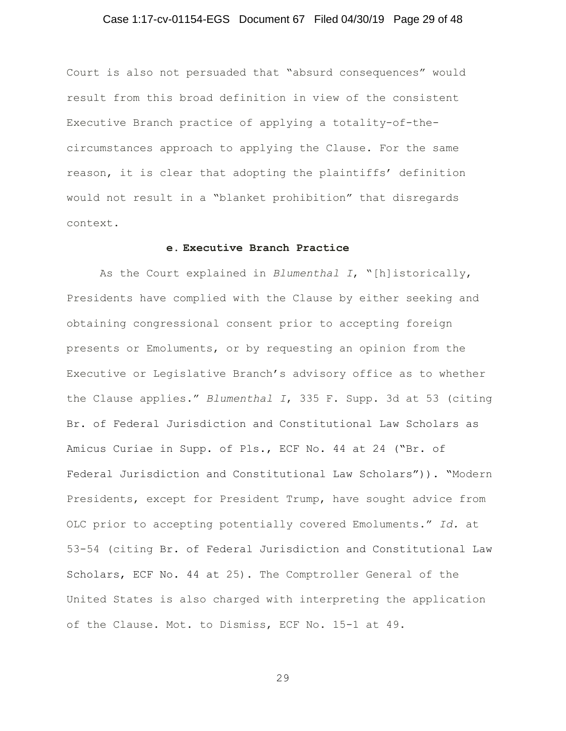## Case 1:17-cv-01154-EGS Document 67 Filed 04/30/19 Page 29 of 48

Court is also not persuaded that "absurd consequences" would result from this broad definition in view of the consistent Executive Branch practice of applying a totality-of-thecircumstances approach to applying the Clause. For the same reason, it is clear that adopting the plaintiffs' definition would not result in a "blanket prohibition" that disregards context.

#### **e. Executive Branch Practice**

As the Court explained in *Blumenthal I*, "[h]istorically, Presidents have complied with the Clause by either seeking and obtaining congressional consent prior to accepting foreign presents or Emoluments, or by requesting an opinion from the Executive or Legislative Branch's advisory office as to whether the Clause applies." *Blumenthal I*, 335 F. Supp. 3d at 53 (citing Br. of Federal Jurisdiction and Constitutional Law Scholars as Amicus Curiae in Supp. of Pls., ECF No. 44 at 24 ("Br. of Federal Jurisdiction and Constitutional Law Scholars")). "Modern Presidents, except for President Trump, have sought advice from OLC prior to accepting potentially covered Emoluments." *Id.* at 53-54 (citing Br. of Federal Jurisdiction and Constitutional Law Scholars, ECF No. 44 at 25). The Comptroller General of the United States is also charged with interpreting the application of the Clause. Mot. to Dismiss, ECF No. 15-1 at 49.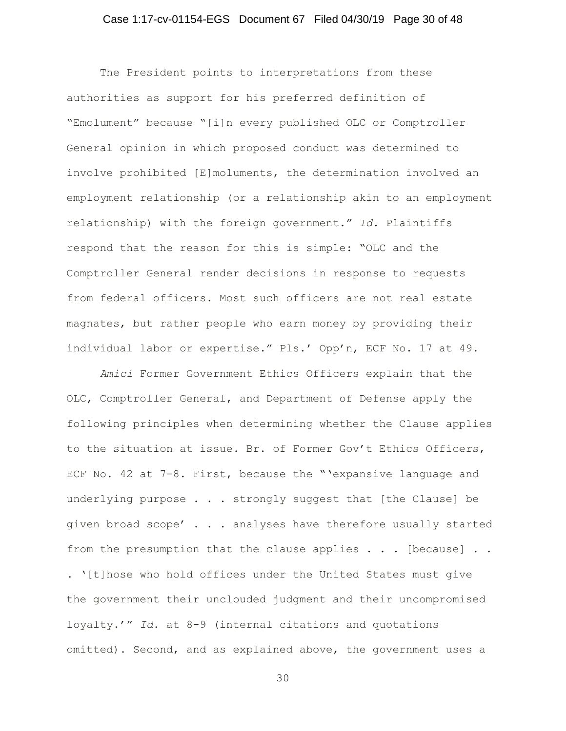## Case 1:17-cv-01154-EGS Document 67 Filed 04/30/19 Page 30 of 48

The President points to interpretations from these authorities as support for his preferred definition of "Emolument" because "[i]n every published OLC or Comptroller General opinion in which proposed conduct was determined to involve prohibited [E]moluments, the determination involved an employment relationship (or a relationship akin to an employment relationship) with the foreign government." *Id.* Plaintiffs respond that the reason for this is simple: "OLC and the Comptroller General render decisions in response to requests from federal officers. Most such officers are not real estate magnates, but rather people who earn money by providing their individual labor or expertise." Pls.' Opp'n, ECF No. 17 at 49.

*Amici* Former Government Ethics Officers explain that the OLC, Comptroller General, and Department of Defense apply the following principles when determining whether the Clause applies to the situation at issue. Br. of Former Gov't Ethics Officers, ECF No. 42 at 7-8. First, because the "'expansive language and underlying purpose . . . strongly suggest that [the Clause] be given broad scope' . . . analyses have therefore usually started from the presumption that the clause applies  $\ldots$  [because]  $\ldots$ . '[t]hose who hold offices under the United States must give

the government their unclouded judgment and their uncompromised loyalty.'" *Id*. at 8-9 (internal citations and quotations omitted). Second, and as explained above, the government uses a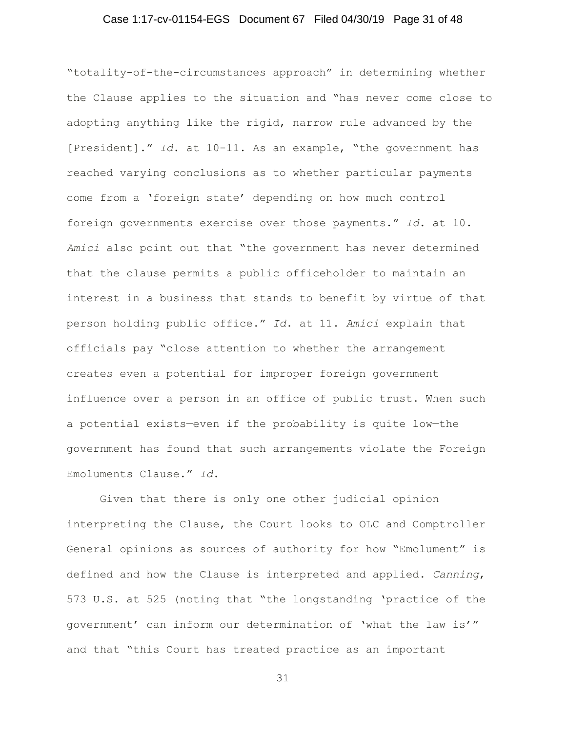## Case 1:17-cv-01154-EGS Document 67 Filed 04/30/19 Page 31 of 48

"totality-of-the-circumstances approach" in determining whether the Clause applies to the situation and "has never come close to adopting anything like the rigid, narrow rule advanced by the [President]." *Id*. at 10-11. As an example, "the government has reached varying conclusions as to whether particular payments come from a 'foreign state' depending on how much control foreign governments exercise over those payments." *Id*. at 10. *Amici* also point out that "the government has never determined that the clause permits a public officeholder to maintain an interest in a business that stands to benefit by virtue of that person holding public office." *Id*. at 11. *Amici* explain that officials pay "close attention to whether the arrangement creates even a potential for improper foreign government influence over a person in an office of public trust. When such a potential exists—even if the probability is quite low—the government has found that such arrangements violate the Foreign Emoluments Clause." *Id*.

Given that there is only one other judicial opinion interpreting the Clause, the Court looks to OLC and Comptroller General opinions as sources of authority for how "Emolument" is defined and how the Clause is interpreted and applied. *Canning*, 573 U.S. at 525 (noting that "the longstanding 'practice of the government' can inform our determination of 'what the law is'" and that "this Court has treated practice as an important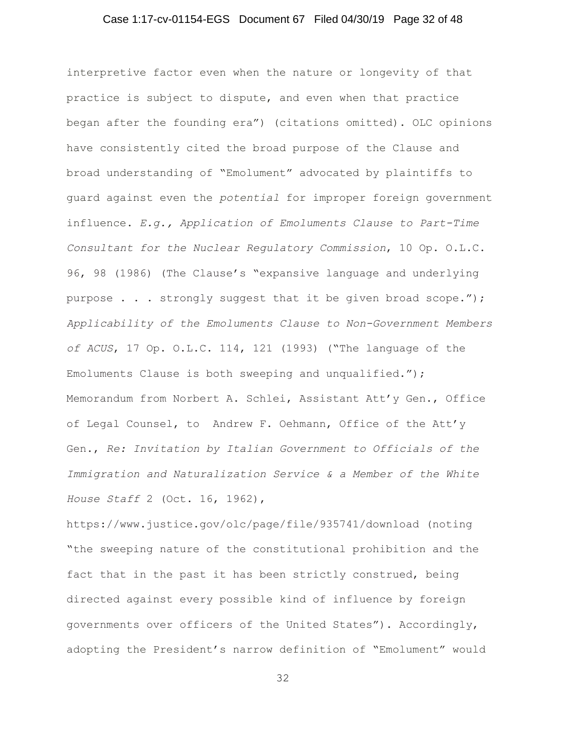## Case 1:17-cv-01154-EGS Document 67 Filed 04/30/19 Page 32 of 48

interpretive factor even when the nature or longevity of that practice is subject to dispute, and even when that practice began after the founding era") (citations omitted). OLC opinions have consistently cited the broad purpose of the Clause and broad understanding of "Emolument" advocated by plaintiffs to guard against even the *potential* for improper foreign government influence. *E.g., Application of Emoluments Clause to Part-Time Consultant for the Nuclear Regulatory Commission*, 10 Op. O.L.C. 96, 98 (1986) (The Clause's "expansive language and underlying purpose . . . strongly suggest that it be given broad scope."); *Applicability of the Emoluments Clause to Non-Government Members of ACUS*, 17 Op. O.L.C. 114, 121 (1993) ("The language of the Emoluments Clause is both sweeping and unqualified."); Memorandum from Norbert A. Schlei, Assistant Att'y Gen., Office of Legal Counsel, to Andrew F. Oehmann, Office of the Att'y Gen., *Re: Invitation by Italian Government to Officials of the Immigration and Naturalization Service & a Member of the White House Staff* 2 (Oct. 16, 1962),

https://www.justice.gov/olc/page/file/935741/download (noting "the sweeping nature of the constitutional prohibition and the fact that in the past it has been strictly construed, being directed against every possible kind of influence by foreign governments over officers of the United States"). Accordingly, adopting the President's narrow definition of "Emolument" would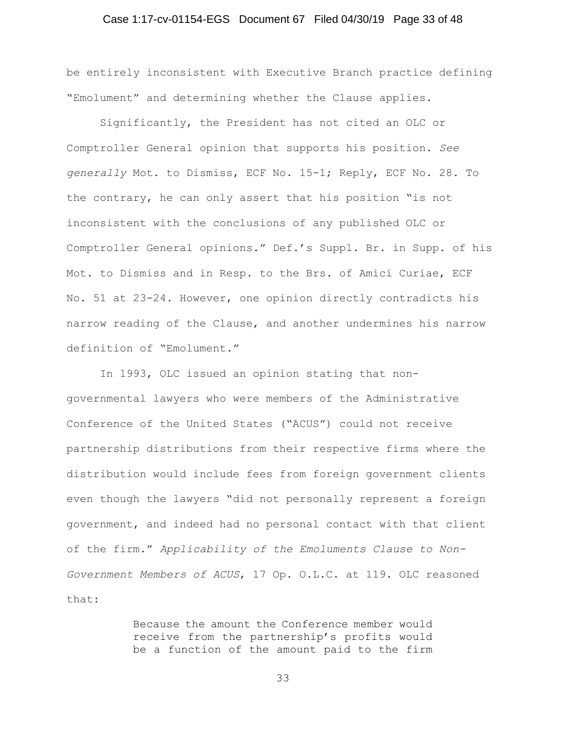## Case 1:17-cv-01154-EGS Document 67 Filed 04/30/19 Page 33 of 48

be entirely inconsistent with Executive Branch practice defining "Emolument" and determining whether the Clause applies.

 Significantly, the President has not cited an OLC or Comptroller General opinion that supports his position. *See generally* Mot. to Dismiss, ECF No. 15-1; Reply, ECF No. 28. To the contrary, he can only assert that his position "is not inconsistent with the conclusions of any published OLC or Comptroller General opinions." Def.'s Suppl. Br. in Supp. of his Mot. to Dismiss and in Resp. to the Brs. of Amici Curiae, ECF No. 51 at 23-24. However, one opinion directly contradicts his narrow reading of the Clause, and another undermines his narrow definition of "Emolument."

In 1993, OLC issued an opinion stating that nongovernmental lawyers who were members of the Administrative Conference of the United States ("ACUS") could not receive partnership distributions from their respective firms where the distribution would include fees from foreign government clients even though the lawyers "did not personally represent a foreign government, and indeed had no personal contact with that client of the firm." *Applicability of the Emoluments Clause to Non-Government Members of ACUS*, 17 Op. O.L.C. at 119. OLC reasoned that:

> Because the amount the Conference member would receive from the partnership's profits would be a function of the amount paid to the firm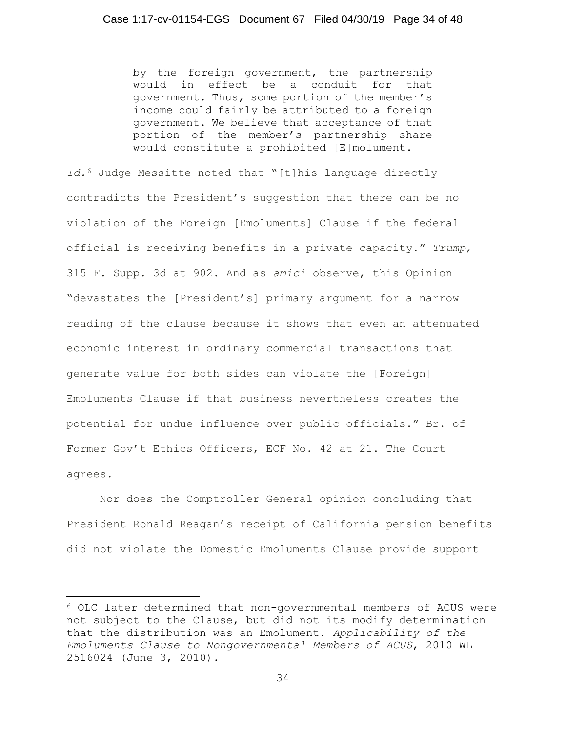by the foreign government, the partnership would in effect be a conduit for that government. Thus, some portion of the member's income could fairly be attributed to a foreign government. We believe that acceptance of that portion of the member's partnership share would constitute a prohibited [E]molument.

*Id.*<sup>6</sup> Judge Messitte noted that "[t]his language directly contradicts the President's suggestion that there can be no violation of the Foreign [Emoluments] Clause if the federal official is receiving benefits in a private capacity." *Trump*, 315 F. Supp. 3d at 902. And as *amici* observe, this Opinion "devastates the [President's] primary argument for a narrow reading of the clause because it shows that even an attenuated economic interest in ordinary commercial transactions that generate value for both sides can violate the [Foreign] Emoluments Clause if that business nevertheless creates the potential for undue influence over public officials." Br. of Former Gov't Ethics Officers, ECF No. 42 at 21. The Court agrees.

Nor does the Comptroller General opinion concluding that President Ronald Reagan's receipt of California pension benefits did not violate the Domestic Emoluments Clause provide support

j 6 OLC later determined that non-governmental members of ACUS were not subject to the Clause, but did not its modify determination that the distribution was an Emolument. *Applicability of the Emoluments Clause to Nongovernmental Members of ACUS*, 2010 WL 2516024 (June 3, 2010).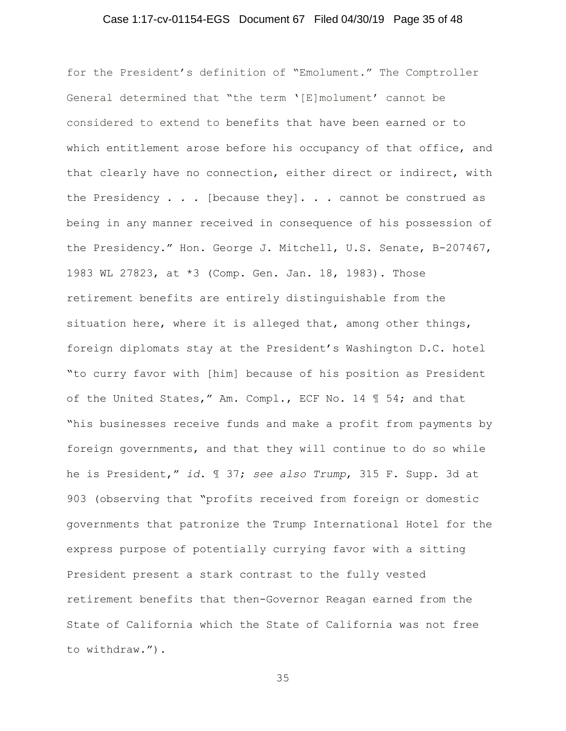## Case 1:17-cv-01154-EGS Document 67 Filed 04/30/19 Page 35 of 48

for the President's definition of "Emolument." The Comptroller General determined that "the term '[E]molument' cannot be considered to extend to benefits that have been earned or to which entitlement arose before his occupancy of that office, and that clearly have no connection, either direct or indirect, with the Presidency . . . [because they]. . . cannot be construed as being in any manner received in consequence of his possession of the Presidency." Hon. George J. Mitchell, U.S. Senate, B-207467, 1983 WL 27823, at \*3 (Comp. Gen. Jan. 18, 1983). Those retirement benefits are entirely distinguishable from the situation here, where it is alleged that, among other things, foreign diplomats stay at the President's Washington D.C. hotel "to curry favor with [him] because of his position as President of the United States," Am. Compl., ECF No. 14 ¶ 54; and that "his businesses receive funds and make a profit from payments by foreign governments, and that they will continue to do so while he is President," *id*. ¶ 37; *see also Trump*, 315 F. Supp. 3d at 903 (observing that "profits received from foreign or domestic governments that patronize the Trump International Hotel for the express purpose of potentially currying favor with a sitting President present a stark contrast to the fully vested retirement benefits that then-Governor Reagan earned from the State of California which the State of California was not free to withdraw.").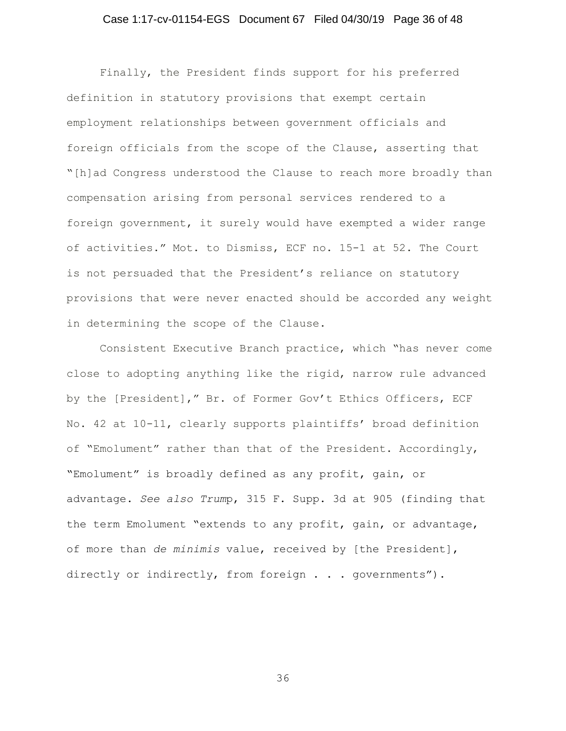## Case 1:17-cv-01154-EGS Document 67 Filed 04/30/19 Page 36 of 48

Finally, the President finds support for his preferred definition in statutory provisions that exempt certain employment relationships between government officials and foreign officials from the scope of the Clause, asserting that "[h]ad Congress understood the Clause to reach more broadly than compensation arising from personal services rendered to a foreign government, it surely would have exempted a wider range of activities." Mot. to Dismiss, ECF no. 15-1 at 52. The Court is not persuaded that the President's reliance on statutory provisions that were never enacted should be accorded any weight in determining the scope of the Clause.

Consistent Executive Branch practice, which "has never come close to adopting anything like the rigid, narrow rule advanced by the [President]," Br. of Former Gov't Ethics Officers, ECF No. 42 at 10-11, clearly supports plaintiffs' broad definition of "Emolument" rather than that of the President. Accordingly, "Emolument" is broadly defined as any profit, gain, or advantage. *See also Trum*p, 315 F. Supp. 3d at 905 (finding that the term Emolument "extends to any profit, gain, or advantage, of more than *de minimis* value, received by [the President], directly or indirectly, from foreign . . . governments").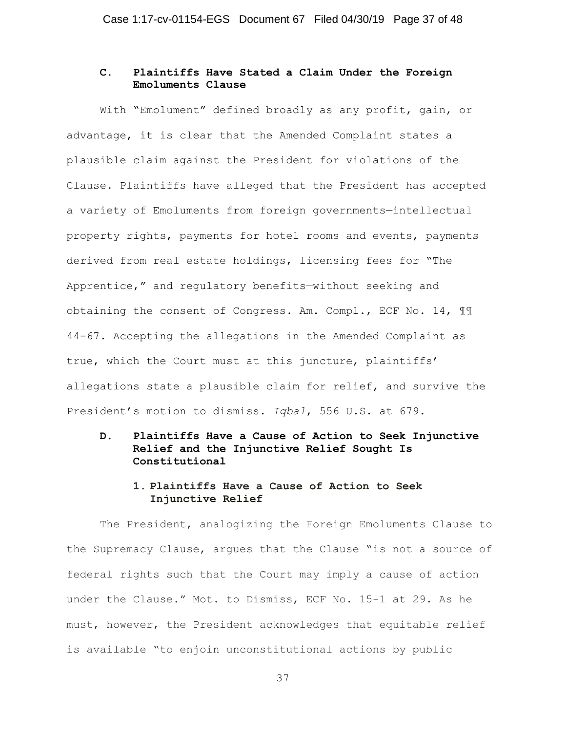# **C. Plaintiffs Have Stated a Claim Under the Foreign Emoluments Clause**

With "Emolument" defined broadly as any profit, gain, or advantage, it is clear that the Amended Complaint states a plausible claim against the President for violations of the Clause. Plaintiffs have alleged that the President has accepted a variety of Emoluments from foreign governments—intellectual property rights, payments for hotel rooms and events, payments derived from real estate holdings, licensing fees for "The Apprentice," and regulatory benefits—without seeking and obtaining the consent of Congress. Am. Compl., ECF No. 14, ¶¶ 44-67. Accepting the allegations in the Amended Complaint as true, which the Court must at this juncture, plaintiffs' allegations state a plausible claim for relief, and survive the President's motion to dismiss. *Iqbal*, 556 U.S. at 679.

**D. Plaintiffs Have a Cause of Action to Seek Injunctive Relief and the Injunctive Relief Sought Is Constitutional** 

## **1. Plaintiffs Have a Cause of Action to Seek Injunctive Relief**

The President, analogizing the Foreign Emoluments Clause to the Supremacy Clause, argues that the Clause "is not a source of federal rights such that the Court may imply a cause of action under the Clause." Mot. to Dismiss, ECF No. 15-1 at 29. As he must, however, the President acknowledges that equitable relief is available "to enjoin unconstitutional actions by public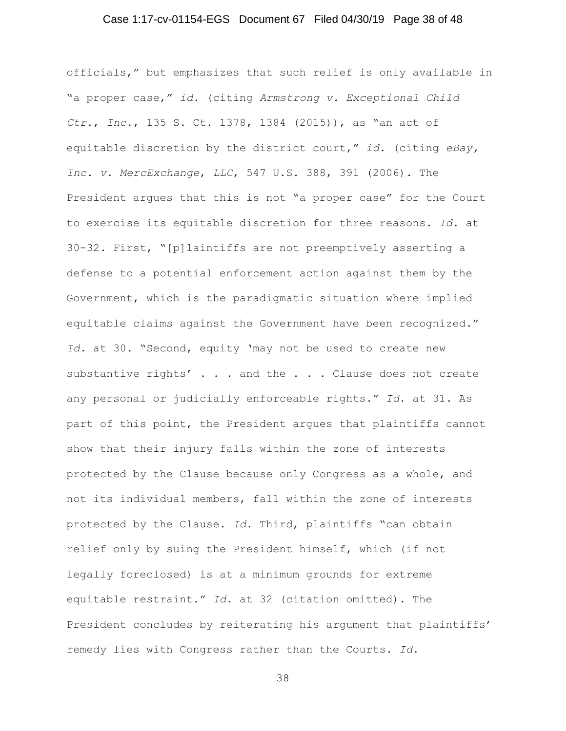## Case 1:17-cv-01154-EGS Document 67 Filed 04/30/19 Page 38 of 48

officials," but emphasizes that such relief is only available in "a proper case," *id.* (citing *Armstrong v. Exceptional Child Ctr*., *Inc*., 135 S. Ct. 1378, 1384 (2015)), as "an act of equitable discretion by the district court," *id*. (citing *eBay, Inc. v. MercExchange*, *LLC*, 547 U.S. 388, 391 (2006). The President argues that this is not "a proper case" for the Court to exercise its equitable discretion for three reasons. *Id*. at 30-32. First, "[p]laintiffs are not preemptively asserting a defense to a potential enforcement action against them by the Government, which is the paradigmatic situation where implied equitable claims against the Government have been recognized." *Id.* at 30. "Second, equity 'may not be used to create new substantive rights' . . . and the . . . Clause does not create any personal or judicially enforceable rights." *Id*. at 31. As part of this point, the President argues that plaintiffs cannot show that their injury falls within the zone of interests protected by the Clause because only Congress as a whole, and not its individual members, fall within the zone of interests protected by the Clause. *Id*. Third, plaintiffs "can obtain relief only by suing the President himself, which (if not legally foreclosed) is at a minimum grounds for extreme equitable restraint." *Id.* at 32 (citation omitted). The President concludes by reiterating his argument that plaintiffs' remedy lies with Congress rather than the Courts. *Id*.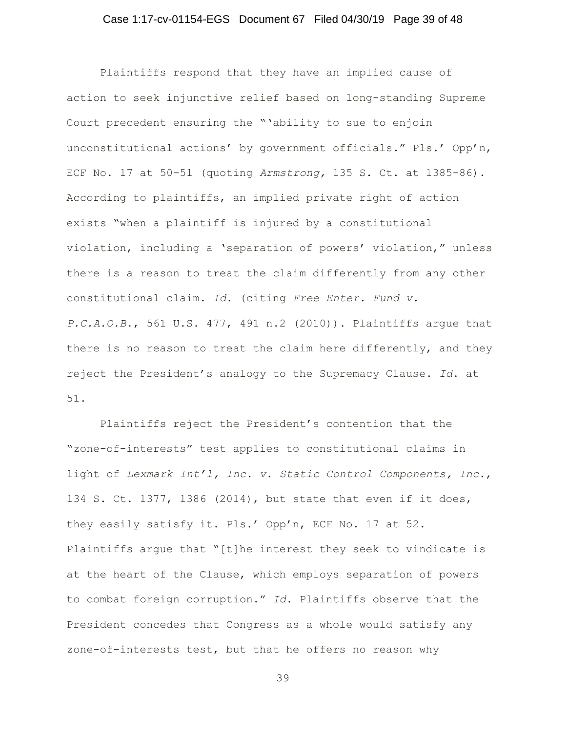## Case 1:17-cv-01154-EGS Document 67 Filed 04/30/19 Page 39 of 48

Plaintiffs respond that they have an implied cause of action to seek injunctive relief based on long-standing Supreme Court precedent ensuring the "'ability to sue to enjoin unconstitutional actions' by government officials." Pls.' Opp'n, ECF No. 17 at 50-51 (quoting *Armstrong,* 135 S. Ct. at 1385-86). According to plaintiffs, an implied private right of action exists "when a plaintiff is injured by a constitutional violation, including a 'separation of powers' violation," unless there is a reason to treat the claim differently from any other constitutional claim. *Id*. (citing *Free Enter. Fund v. P.C.A.O.B*., 561 U.S. 477, 491 n.2 (2010)). Plaintiffs argue that there is no reason to treat the claim here differently, and they reject the President's analogy to the Supremacy Clause. *Id*. at 51.

Plaintiffs reject the President's contention that the "zone-of-interests" test applies to constitutional claims in light of *Lexmark Int'l, Inc. v. Static Control Components, Inc*., 134 S. Ct. 1377, 1386 (2014), but state that even if it does, they easily satisfy it. Pls.' Opp'n, ECF No. 17 at 52. Plaintiffs argue that "[t]he interest they seek to vindicate is at the heart of the Clause, which employs separation of powers to combat foreign corruption." *Id*. Plaintiffs observe that the President concedes that Congress as a whole would satisfy any zone-of-interests test, but that he offers no reason why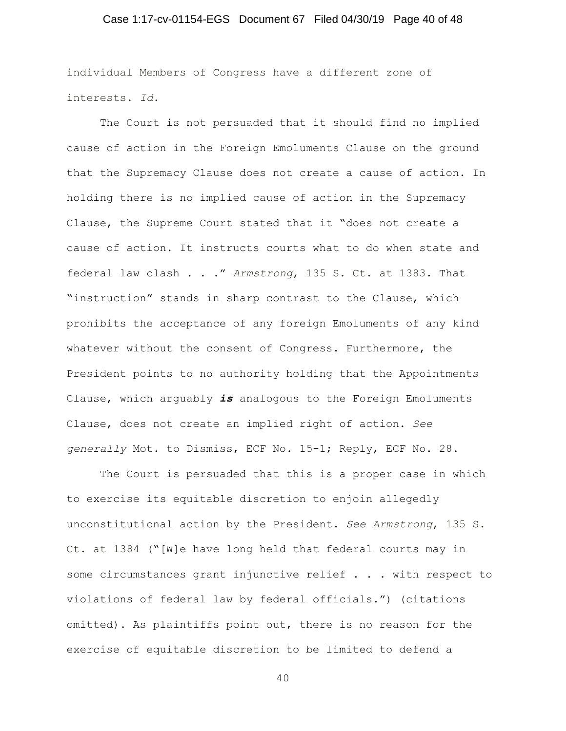## Case 1:17-cv-01154-EGS Document 67 Filed 04/30/19 Page 40 of 48

individual Members of Congress have a different zone of interests. *Id*.

The Court is not persuaded that it should find no implied cause of action in the Foreign Emoluments Clause on the ground that the Supremacy Clause does not create a cause of action. In holding there is no implied cause of action in the Supremacy Clause, the Supreme Court stated that it "does not create a cause of action. It instructs courts what to do when state and federal law clash . . ." *Armstrong*, 135 S. Ct. at 1383. That "instruction" stands in sharp contrast to the Clause, which prohibits the acceptance of any foreign Emoluments of any kind whatever without the consent of Congress. Furthermore, the President points to no authority holding that the Appointments Clause, which arguably *is* analogous to the Foreign Emoluments Clause, does not create an implied right of action. *See generally* Mot. to Dismiss, ECF No. 15-1; Reply, ECF No. 28.

The Court is persuaded that this is a proper case in which to exercise its equitable discretion to enjoin allegedly unconstitutional action by the President. *See Armstrong*, 135 S. Ct. at 1384 ("[W]e have long held that federal courts may in some circumstances grant injunctive relief . . . with respect to violations of federal law by federal officials.") (citations omitted). As plaintiffs point out, there is no reason for the exercise of equitable discretion to be limited to defend a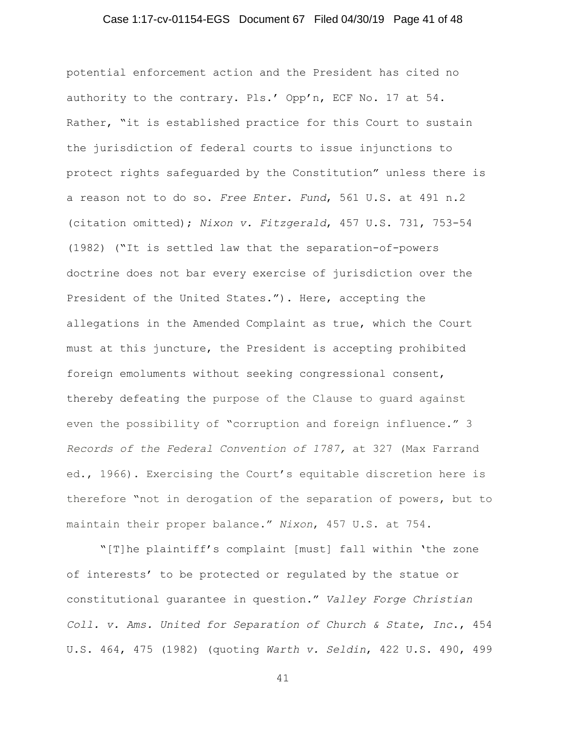## Case 1:17-cv-01154-EGS Document 67 Filed 04/30/19 Page 41 of 48

potential enforcement action and the President has cited no authority to the contrary. Pls.' Opp'n, ECF No. 17 at 54. Rather, "it is established practice for this Court to sustain the jurisdiction of federal courts to issue injunctions to protect rights safeguarded by the Constitution" unless there is a reason not to do so. *Free Enter. Fund*, 561 U.S. at 491 n.2 (citation omitted); *Nixon v. Fitzgerald*, 457 U.S. 731, 753-54 (1982) ("It is settled law that the separation-of-powers doctrine does not bar every exercise of jurisdiction over the President of the United States."). Here, accepting the allegations in the Amended Complaint as true, which the Court must at this juncture, the President is accepting prohibited foreign emoluments without seeking congressional consent, thereby defeating the purpose of the Clause to guard against even the possibility of "corruption and foreign influence." 3 *Records of the Federal Convention of 1787,* at 327 (Max Farrand ed., 1966). Exercising the Court's equitable discretion here is therefore "not in derogation of the separation of powers, but to maintain their proper balance." *Nixon*, 457 U.S. at 754.

"[T]he plaintiff's complaint [must] fall within 'the zone of interests' to be protected or regulated by the statue or constitutional guarantee in question." *Valley Forge Christian Coll. v. Ams. United for Separation of Church & State*, *Inc*., 454 U.S. 464, 475 (1982) (quoting *Warth v. Seldin*, 422 U.S. 490, 499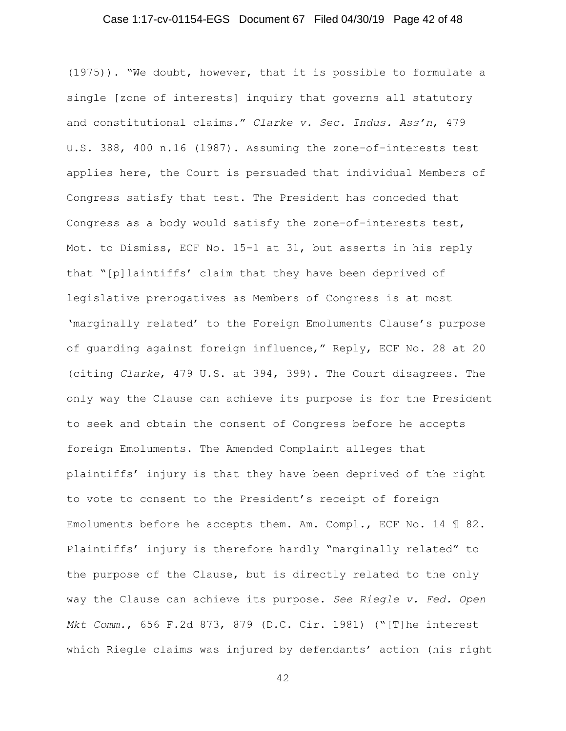## Case 1:17-cv-01154-EGS Document 67 Filed 04/30/19 Page 42 of 48

(1975)). "We doubt, however, that it is possible to formulate a single [zone of interests] inquiry that governs all statutory and constitutional claims." *Clarke v. Sec. Indus. Ass'n*, 479 U.S. 388, 400 n.16 (1987). Assuming the zone-of-interests test applies here, the Court is persuaded that individual Members of Congress satisfy that test. The President has conceded that Congress as a body would satisfy the zone-of-interests test, Mot. to Dismiss, ECF No. 15-1 at 31, but asserts in his reply that "[p]laintiffs' claim that they have been deprived of legislative prerogatives as Members of Congress is at most 'marginally related' to the Foreign Emoluments Clause's purpose of guarding against foreign influence," Reply, ECF No. 28 at 20 (citing *Clarke*, 479 U.S. at 394, 399). The Court disagrees. The only way the Clause can achieve its purpose is for the President to seek and obtain the consent of Congress before he accepts foreign Emoluments. The Amended Complaint alleges that plaintiffs' injury is that they have been deprived of the right to vote to consent to the President's receipt of foreign Emoluments before he accepts them. Am. Compl., ECF No. 14 ¶ 82. Plaintiffs' injury is therefore hardly "marginally related" to the purpose of the Clause, but is directly related to the only way the Clause can achieve its purpose. *See Riegle v. Fed. Open Mkt Comm.*, 656 F.2d 873, 879 (D.C. Cir. 1981) ("[T]he interest which Riegle claims was injured by defendants' action (his right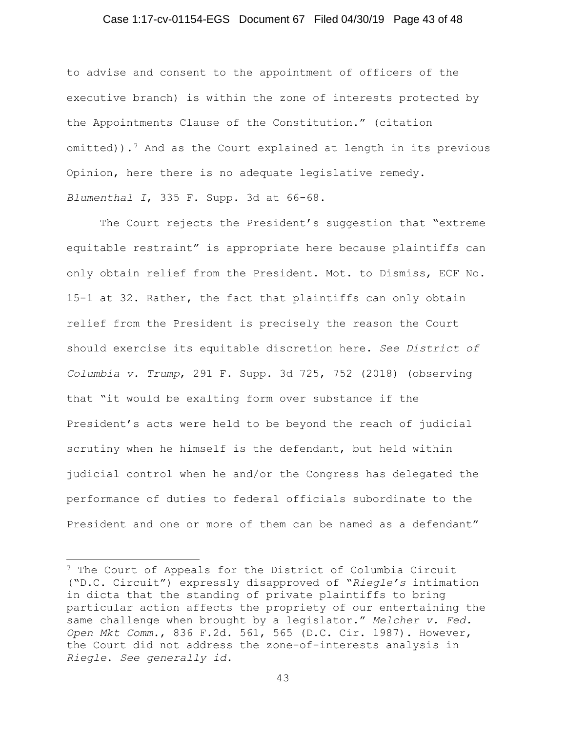## Case 1:17-cv-01154-EGS Document 67 Filed 04/30/19 Page 43 of 48

to advise and consent to the appointment of officers of the executive branch) is within the zone of interests protected by the Appointments Clause of the Constitution." (citation omitted)).7 And as the Court explained at length in its previous Opinion, here there is no adequate legislative remedy. *Blumenthal I*, 335 F. Supp. 3d at 66-68.

The Court rejects the President's suggestion that "extreme equitable restraint" is appropriate here because plaintiffs can only obtain relief from the President. Mot. to Dismiss, ECF No. 15-1 at 32. Rather, the fact that plaintiffs can only obtain relief from the President is precisely the reason the Court should exercise its equitable discretion here. *See District of Columbia v. Trump*, 291 F. Supp. 3d 725, 752 (2018) (observing that "it would be exalting form over substance if the President's acts were held to be beyond the reach of judicial scrutiny when he himself is the defendant, but held within judicial control when he and/or the Congress has delegated the performance of duties to federal officials subordinate to the President and one or more of them can be named as a defendant"

j 7 The Court of Appeals for the District of Columbia Circuit ("D.C. Circuit") expressly disapproved of "*Riegle's* intimation in dicta that the standing of private plaintiffs to bring particular action affects the propriety of our entertaining the same challenge when brought by a legislator." *Melcher v. Fed. Open Mkt Comm.*, 836 F.2d. 561, 565 (D.C. Cir. 1987). However, the Court did not address the zone-of-interests analysis in *Riegle*. *See generally id.*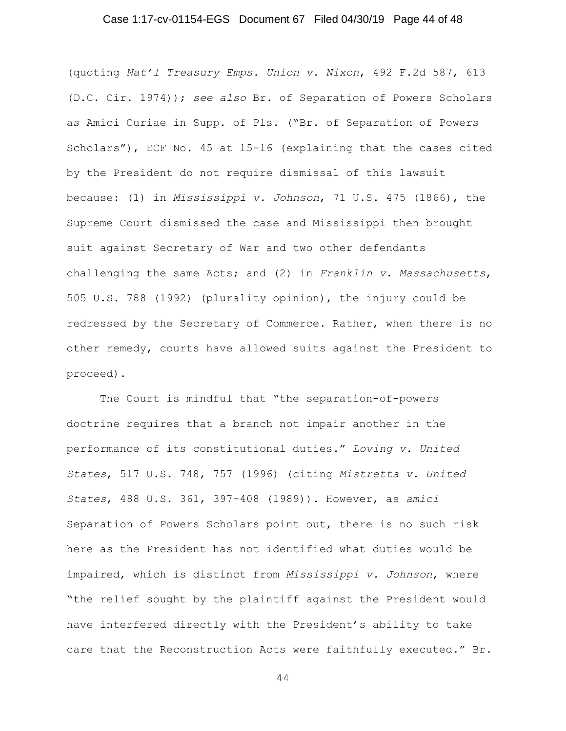## Case 1:17-cv-01154-EGS Document 67 Filed 04/30/19 Page 44 of 48

(quoting *Nat'l Treasury Emps. Union v. Nixon*, 492 F.2d 587, 613 (D.C. Cir. 1974)); *see also* Br. of Separation of Powers Scholars as Amici Curiae in Supp. of Pls. ("Br. of Separation of Powers Scholars"), ECF No. 45 at 15-16 (explaining that the cases cited by the President do not require dismissal of this lawsuit because: (1) in *Mississippi v. Johnson*, 71 U.S. 475 (1866), the Supreme Court dismissed the case and Mississippi then brought suit against Secretary of War and two other defendants challenging the same Acts; and (2) in *Franklin v. Massachusetts*, 505 U.S. 788 (1992) (plurality opinion), the injury could be redressed by the Secretary of Commerce. Rather, when there is no other remedy, courts have allowed suits against the President to proceed).

The Court is mindful that "the separation-of-powers doctrine requires that a branch not impair another in the performance of its constitutional duties." *Loving v. United States*, 517 U.S. 748, 757 (1996) (citing *Mistretta v. United States*, 488 U.S. 361, 397-408 (1989)). However, as *amici* Separation of Powers Scholars point out, there is no such risk here as the President has not identified what duties would be impaired, which is distinct from *Mississippi v. Johnson*, where "the relief sought by the plaintiff against the President would have interfered directly with the President's ability to take care that the Reconstruction Acts were faithfully executed." Br.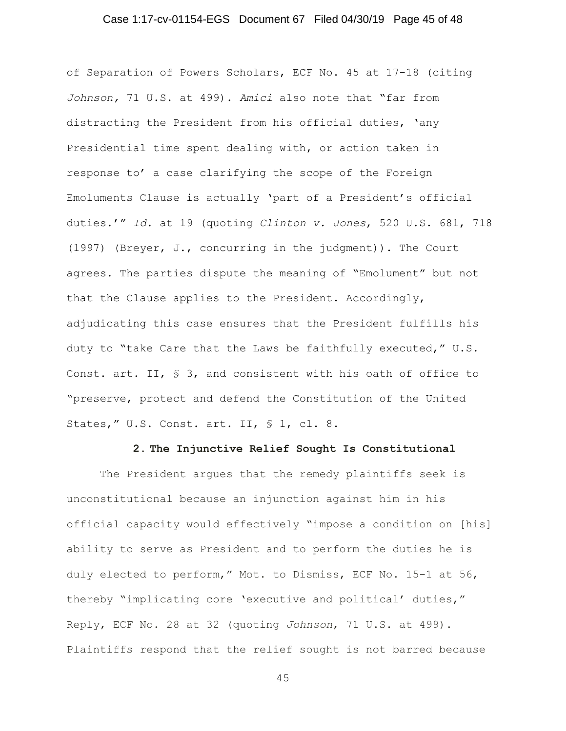## Case 1:17-cv-01154-EGS Document 67 Filed 04/30/19 Page 45 of 48

of Separation of Powers Scholars, ECF No. 45 at 17-18 (citing *Johnson,* 71 U.S. at 499). *Amici* also note that "far from distracting the President from his official duties, 'any Presidential time spent dealing with, or action taken in response to' a case clarifying the scope of the Foreign Emoluments Clause is actually 'part of a President's official duties.'" *Id*. at 19 (quoting *Clinton v. Jones*, 520 U.S. 681, 718 (1997) (Breyer, J., concurring in the judgment)). The Court agrees. The parties dispute the meaning of "Emolument" but not that the Clause applies to the President. Accordingly, adjudicating this case ensures that the President fulfills his duty to "take Care that the Laws be faithfully executed," U.S. Const. art. II, § 3, and consistent with his oath of office to "preserve, protect and defend the Constitution of the United States," U.S. Const. art. II, § 1, cl. 8.

#### **2. The Injunctive Relief Sought Is Constitutional**

The President argues that the remedy plaintiffs seek is unconstitutional because an injunction against him in his official capacity would effectively "impose a condition on [his] ability to serve as President and to perform the duties he is duly elected to perform," Mot. to Dismiss, ECF No. 15-1 at 56, thereby "implicating core 'executive and political' duties," Reply, ECF No. 28 at 32 (quoting *Johnson*, 71 U.S. at 499). Plaintiffs respond that the relief sought is not barred because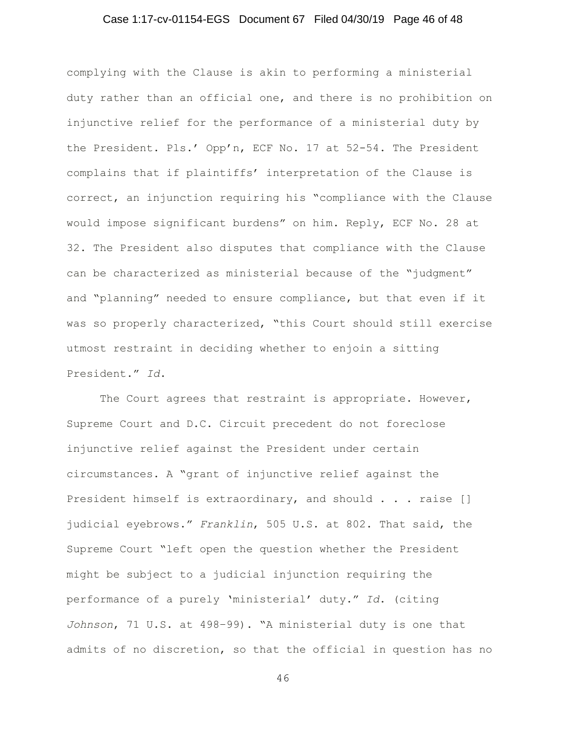## Case 1:17-cv-01154-EGS Document 67 Filed 04/30/19 Page 46 of 48

complying with the Clause is akin to performing a ministerial duty rather than an official one, and there is no prohibition on injunctive relief for the performance of a ministerial duty by the President. Pls.' Opp'n, ECF No. 17 at 52-54. The President complains that if plaintiffs' interpretation of the Clause is correct, an injunction requiring his "compliance with the Clause would impose significant burdens" on him. Reply, ECF No. 28 at 32. The President also disputes that compliance with the Clause can be characterized as ministerial because of the "judgment" and "planning" needed to ensure compliance, but that even if it was so properly characterized, "this Court should still exercise utmost restraint in deciding whether to enjoin a sitting President." *Id*.

The Court agrees that restraint is appropriate. However, Supreme Court and D.C. Circuit precedent do not foreclose injunctive relief against the President under certain circumstances. A "grant of injunctive relief against the President himself is extraordinary, and should . . . raise [] judicial eyebrows." *Franklin*, 505 U.S. at 802. That said, the Supreme Court "left open the question whether the President might be subject to a judicial injunction requiring the performance of a purely 'ministerial' duty." *Id*. (citing *Johnson*, 71 U.S. at 498–99). "A ministerial duty is one that admits of no discretion, so that the official in question has no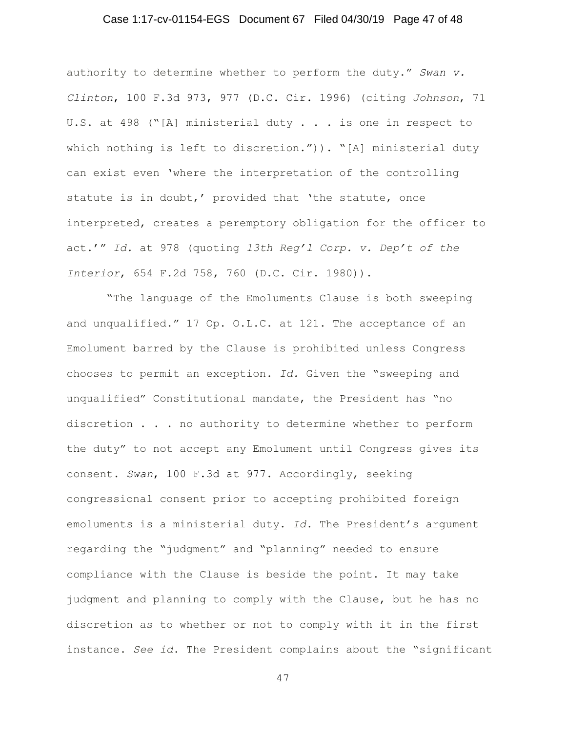## Case 1:17-cv-01154-EGS Document 67 Filed 04/30/19 Page 47 of 48

authority to determine whether to perform the duty." *Swan v. Clinton*, 100 F.3d 973, 977 (D.C. Cir. 1996) (citing *Johnson*, 71 U.S. at 498 ("[A] ministerial duty . . . is one in respect to which nothing is left to discretion.")). "[A] ministerial duty can exist even 'where the interpretation of the controlling statute is in doubt,' provided that 'the statute, once interpreted, creates a peremptory obligation for the officer to act.'" *Id.* at 978 (quoting *13th Reg'l Corp. v. Dep't of the Interior*, 654 F.2d 758, 760 (D.C. Cir. 1980)).

 "The language of the Emoluments Clause is both sweeping and unqualified." 17 Op. O.L.C. at 121. The acceptance of an Emolument barred by the Clause is prohibited unless Congress chooses to permit an exception. *Id.* Given the "sweeping and unqualified" Constitutional mandate, the President has "no discretion . . . no authority to determine whether to perform the duty" to not accept any Emolument until Congress gives its consent. *Swan*, 100 F.3d at 977. Accordingly, seeking congressional consent prior to accepting prohibited foreign emoluments is a ministerial duty. *Id.* The President's argument regarding the "judgment" and "planning" needed to ensure compliance with the Clause is beside the point. It may take judgment and planning to comply with the Clause, but he has no discretion as to whether or not to comply with it in the first instance. *See id*. The President complains about the "significant